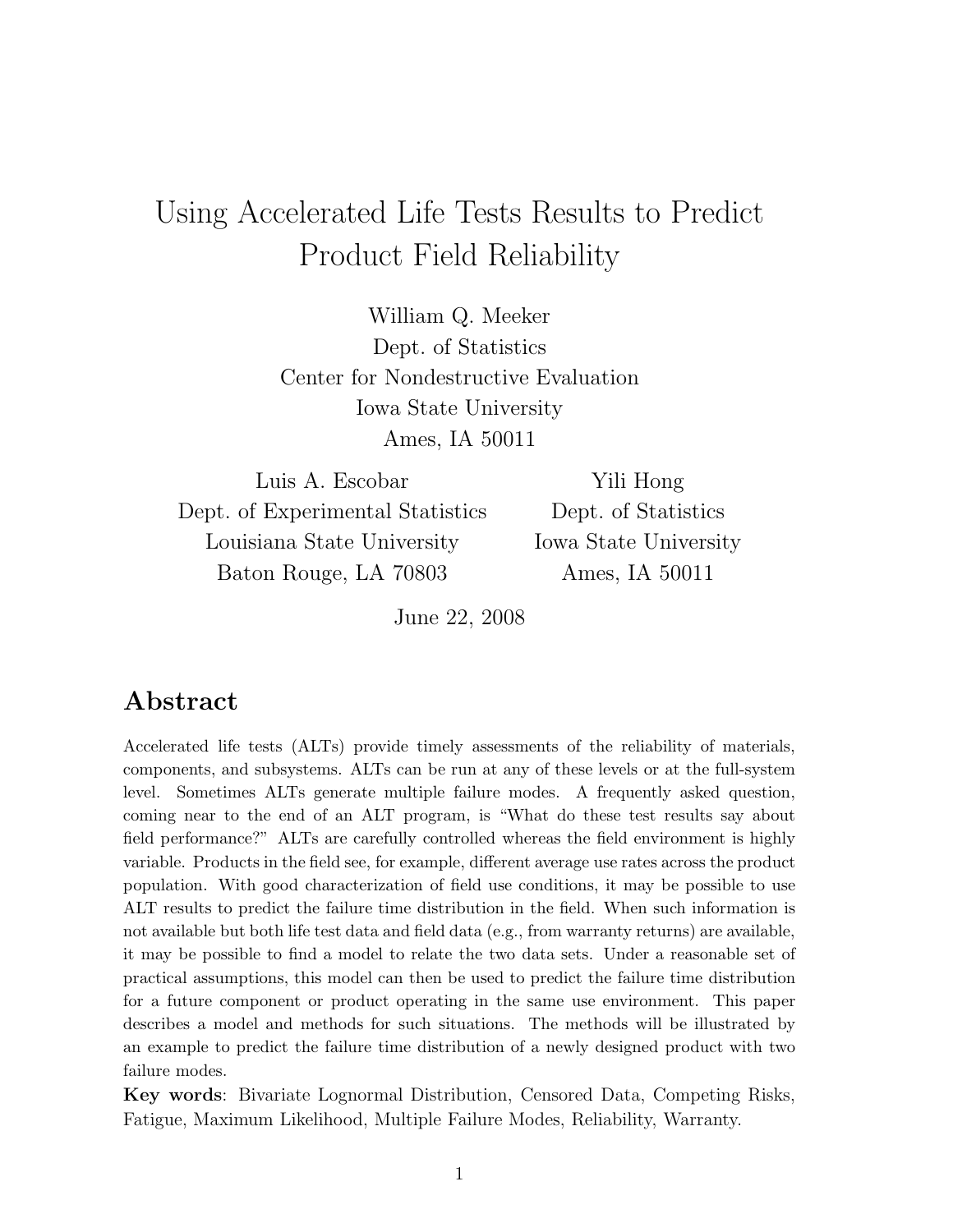# Using Accelerated Life Tests Results to Predict Product Field Reliability

William Q. Meeker Dept. of Statistics Center for Nondestructive Evaluation Iowa State University Ames, IA 50011

Luis A. Escobar Dept. of Experimental Statistics Louisiana State University Baton Rouge, LA 70803

Yili Hong Dept. of Statistics Iowa State University Ames, IA 50011

June 22, 2008

## Abstract

Accelerated life tests (ALTs) provide timely assessments of the reliability of materials, components, and subsystems. ALTs can be run at any of these levels or at the full-system level. Sometimes ALTs generate multiple failure modes. A frequently asked question, coming near to the end of an ALT program, is "What do these test results say about field performance?" ALTs are carefully controlled whereas the field environment is highly variable. Products in the field see, for example, different average use rates across the product population. With good characterization of field use conditions, it may be possible to use ALT results to predict the failure time distribution in the field. When such information is not available but both life test data and field data (e.g., from warranty returns) are available, it may be possible to find a model to relate the two data sets. Under a reasonable set of practical assumptions, this model can then be used to predict the failure time distribution for a future component or product operating in the same use environment. This paper describes a model and methods for such situations. The methods will be illustrated by an example to predict the failure time distribution of a newly designed product with two failure modes.

Key words: Bivariate Lognormal Distribution, Censored Data, Competing Risks, Fatigue, Maximum Likelihood, Multiple Failure Modes, Reliability, Warranty.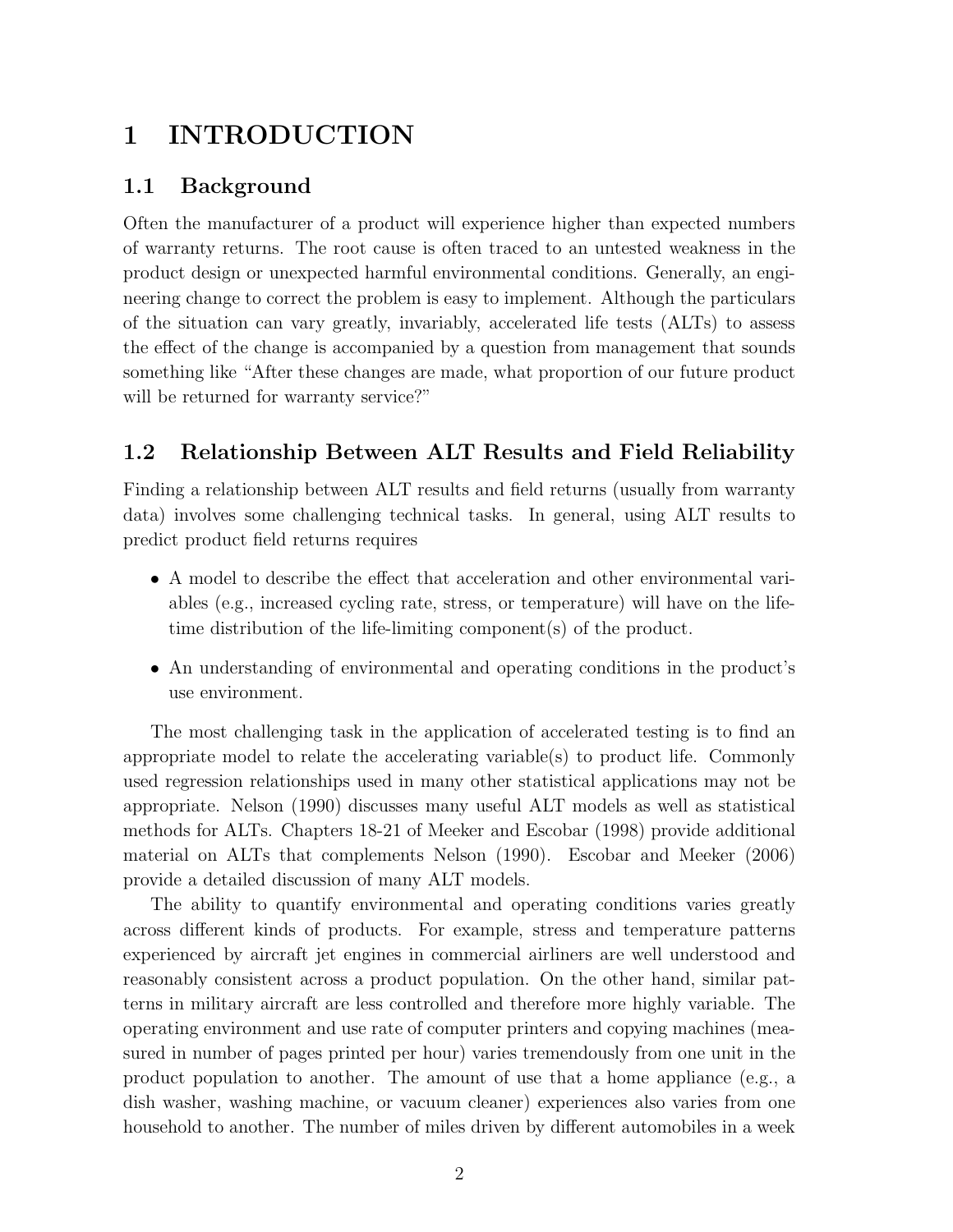## 1 INTRODUCTION

### 1.1 Background

Often the manufacturer of a product will experience higher than expected numbers of warranty returns. The root cause is often traced to an untested weakness in the product design or unexpected harmful environmental conditions. Generally, an engineering change to correct the problem is easy to implement. Although the particulars of the situation can vary greatly, invariably, accelerated life tests (ALTs) to assess the effect of the change is accompanied by a question from management that sounds something like "After these changes are made, what proportion of our future product will be returned for warranty service?"

## 1.2 Relationship Between ALT Results and Field Reliability

Finding a relationship between ALT results and field returns (usually from warranty data) involves some challenging technical tasks. In general, using ALT results to predict product field returns requires

- A model to describe the effect that acceleration and other environmental variables (e.g., increased cycling rate, stress, or temperature) will have on the lifetime distribution of the life-limiting component(s) of the product.
- An understanding of environmental and operating conditions in the product's use environment.

The most challenging task in the application of accelerated testing is to find an appropriate model to relate the accelerating variable(s) to product life. Commonly used regression relationships used in many other statistical applications may not be appropriate. Nelson (1990) discusses many useful ALT models as well as statistical methods for ALTs. Chapters 18-21 of Meeker and Escobar (1998) provide additional material on ALTs that complements Nelson (1990). Escobar and Meeker (2006) provide a detailed discussion of many ALT models.

The ability to quantify environmental and operating conditions varies greatly across different kinds of products. For example, stress and temperature patterns experienced by aircraft jet engines in commercial airliners are well understood and reasonably consistent across a product population. On the other hand, similar patterns in military aircraft are less controlled and therefore more highly variable. The operating environment and use rate of computer printers and copying machines (measured in number of pages printed per hour) varies tremendously from one unit in the product population to another. The amount of use that a home appliance (e.g., a dish washer, washing machine, or vacuum cleaner) experiences also varies from one household to another. The number of miles driven by different automobiles in a week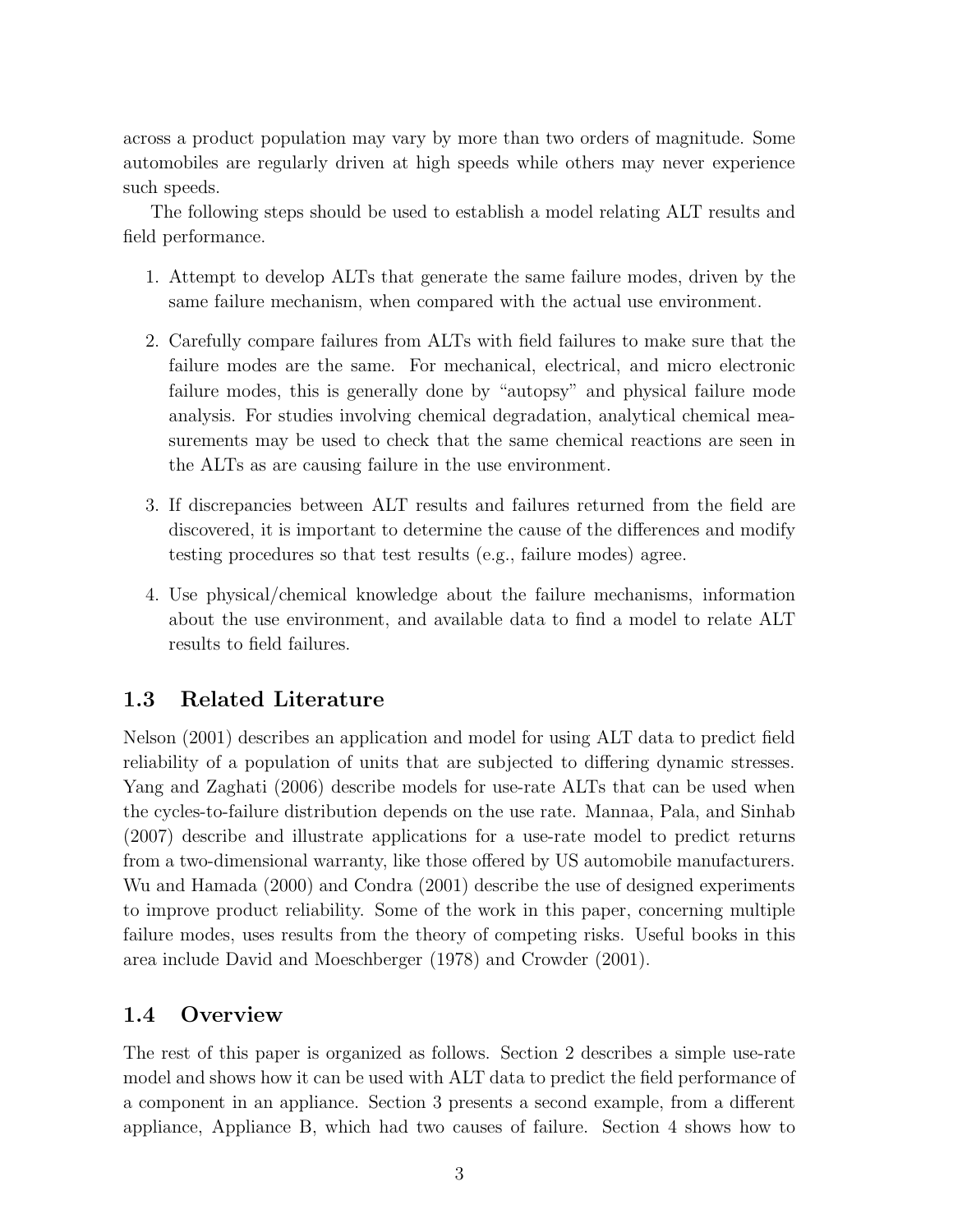across a product population may vary by more than two orders of magnitude. Some automobiles are regularly driven at high speeds while others may never experience such speeds.

The following steps should be used to establish a model relating ALT results and field performance.

- 1. Attempt to develop ALTs that generate the same failure modes, driven by the same failure mechanism, when compared with the actual use environment.
- 2. Carefully compare failures from ALTs with field failures to make sure that the failure modes are the same. For mechanical, electrical, and micro electronic failure modes, this is generally done by "autopsy" and physical failure mode analysis. For studies involving chemical degradation, analytical chemical measurements may be used to check that the same chemical reactions are seen in the ALTs as are causing failure in the use environment.
- 3. If discrepancies between ALT results and failures returned from the field are discovered, it is important to determine the cause of the differences and modify testing procedures so that test results (e.g., failure modes) agree.
- 4. Use physical/chemical knowledge about the failure mechanisms, information about the use environment, and available data to find a model to relate ALT results to field failures.

### 1.3 Related Literature

Nelson (2001) describes an application and model for using ALT data to predict field reliability of a population of units that are subjected to differing dynamic stresses. Yang and Zaghati (2006) describe models for use-rate ALTs that can be used when the cycles-to-failure distribution depends on the use rate. Mannaa, Pala, and Sinhab (2007) describe and illustrate applications for a use-rate model to predict returns from a two-dimensional warranty, like those offered by US automobile manufacturers. Wu and Hamada (2000) and Condra (2001) describe the use of designed experiments to improve product reliability. Some of the work in this paper, concerning multiple failure modes, uses results from the theory of competing risks. Useful books in this area include David and Moeschberger (1978) and Crowder (2001).

### 1.4 Overview

The rest of this paper is organized as follows. Section 2 describes a simple use-rate model and shows how it can be used with ALT data to predict the field performance of a component in an appliance. Section 3 presents a second example, from a different appliance, Appliance B, which had two causes of failure. Section 4 shows how to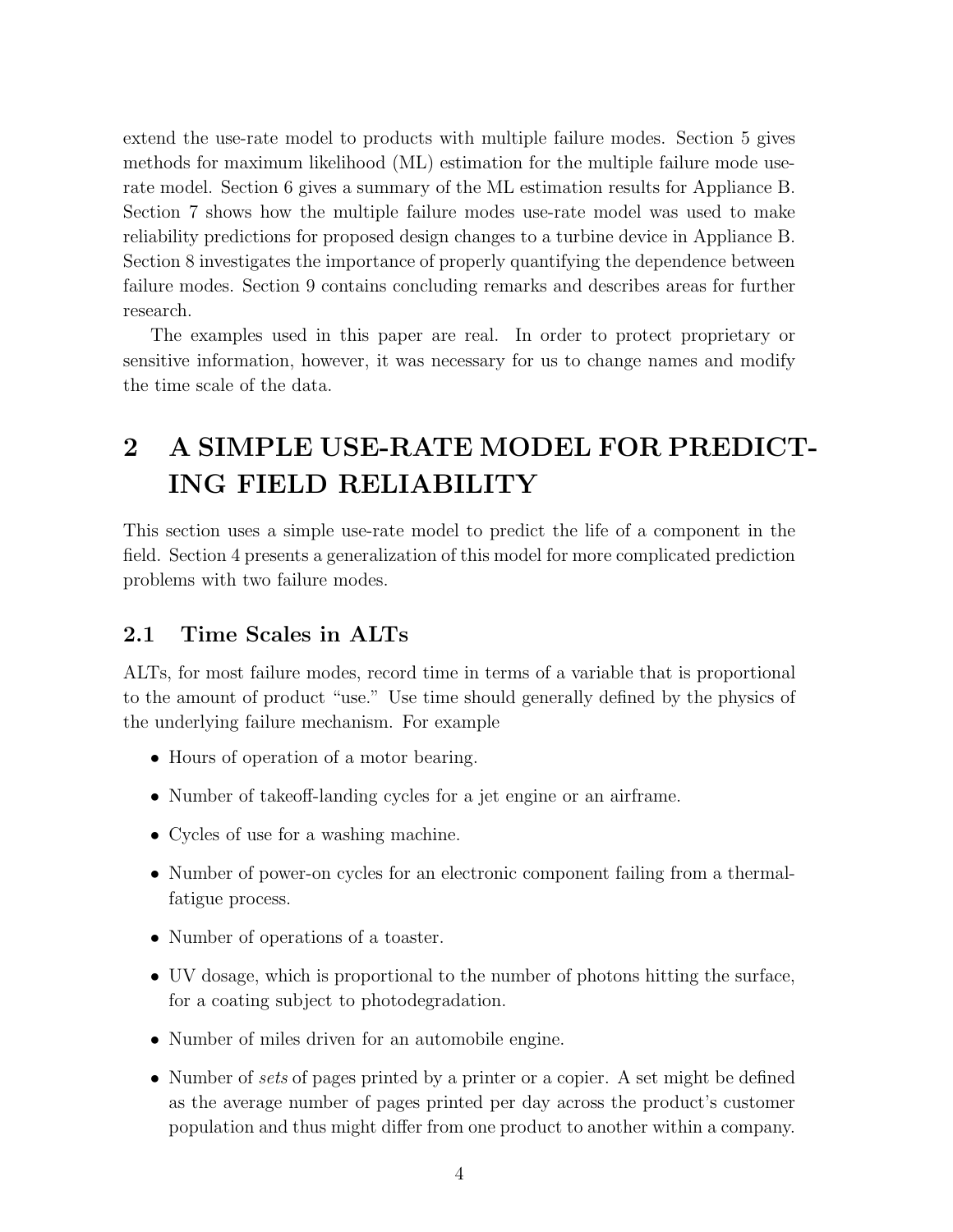extend the use-rate model to products with multiple failure modes. Section 5 gives methods for maximum likelihood (ML) estimation for the multiple failure mode userate model. Section 6 gives a summary of the ML estimation results for Appliance B. Section 7 shows how the multiple failure modes use-rate model was used to make reliability predictions for proposed design changes to a turbine device in Appliance B. Section 8 investigates the importance of properly quantifying the dependence between failure modes. Section 9 contains concluding remarks and describes areas for further research.

The examples used in this paper are real. In order to protect proprietary or sensitive information, however, it was necessary for us to change names and modify the time scale of the data.

## 2 A SIMPLE USE-RATE MODEL FOR PREDICT-ING FIELD RELIABILITY

This section uses a simple use-rate model to predict the life of a component in the field. Section 4 presents a generalization of this model for more complicated prediction problems with two failure modes.

### 2.1 Time Scales in ALTs

ALTs, for most failure modes, record time in terms of a variable that is proportional to the amount of product "use." Use time should generally defined by the physics of the underlying failure mechanism. For example

- Hours of operation of a motor bearing.
- Number of takeoff-landing cycles for a jet engine or an airframe.
- Cycles of use for a washing machine.
- Number of power-on cycles for an electronic component failing from a thermalfatigue process.
- Number of operations of a toaster.
- UV dosage, which is proportional to the number of photons hitting the surface, for a coating subject to photodegradation.
- Number of miles driven for an automobile engine.
- Number of sets of pages printed by a printer or a copier. A set might be defined as the average number of pages printed per day across the product's customer population and thus might differ from one product to another within a company.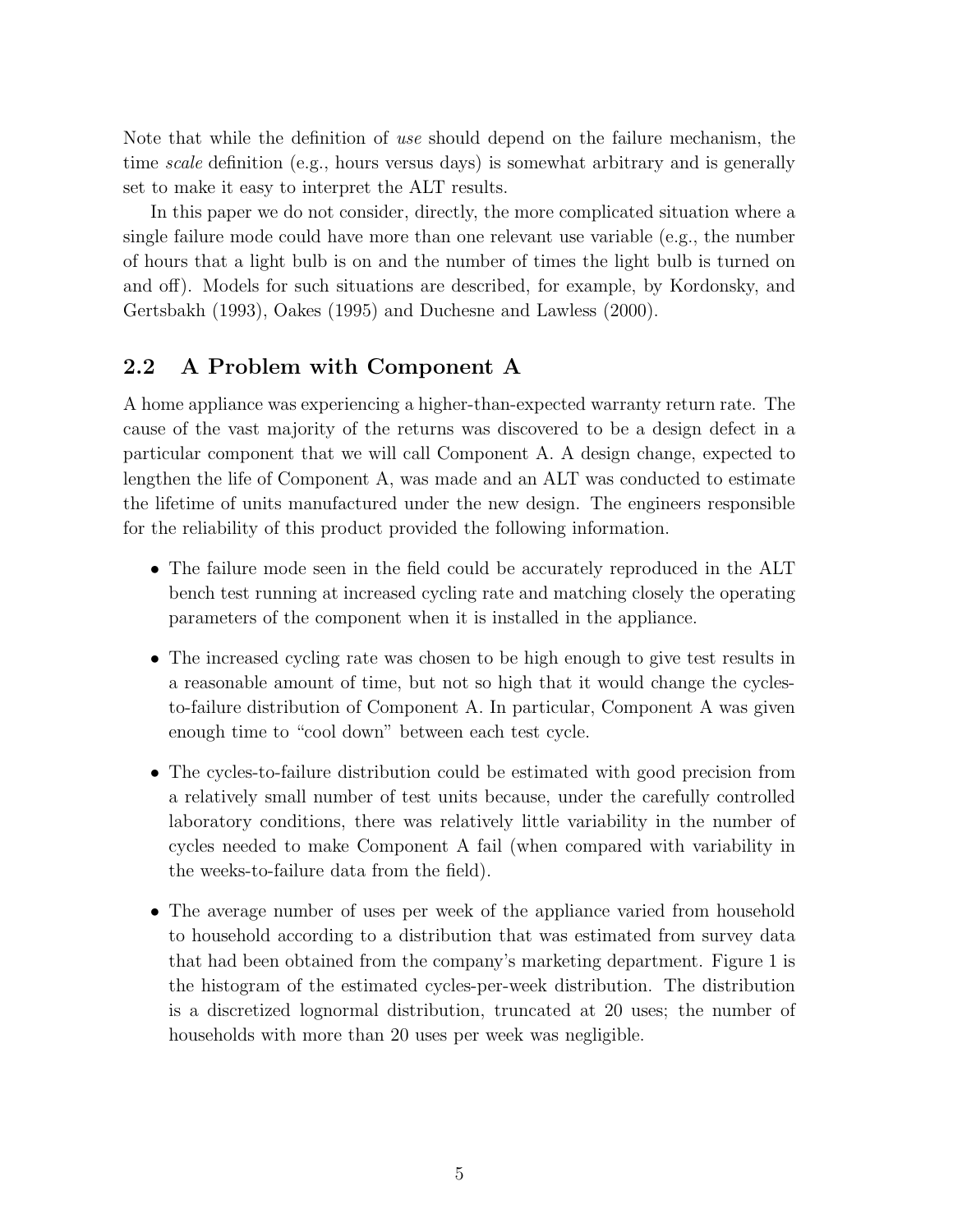Note that while the definition of use should depend on the failure mechanism, the time scale definition (e.g., hours versus days) is somewhat arbitrary and is generally set to make it easy to interpret the ALT results.

In this paper we do not consider, directly, the more complicated situation where a single failure mode could have more than one relevant use variable (e.g., the number of hours that a light bulb is on and the number of times the light bulb is turned on and off). Models for such situations are described, for example, by Kordonsky, and Gertsbakh (1993), Oakes (1995) and Duchesne and Lawless (2000).

### 2.2 A Problem with Component A

A home appliance was experiencing a higher-than-expected warranty return rate. The cause of the vast majority of the returns was discovered to be a design defect in a particular component that we will call Component A. A design change, expected to lengthen the life of Component A, was made and an ALT was conducted to estimate the lifetime of units manufactured under the new design. The engineers responsible for the reliability of this product provided the following information.

- The failure mode seen in the field could be accurately reproduced in the ALT bench test running at increased cycling rate and matching closely the operating parameters of the component when it is installed in the appliance.
- The increased cycling rate was chosen to be high enough to give test results in a reasonable amount of time, but not so high that it would change the cyclesto-failure distribution of Component A. In particular, Component A was given enough time to "cool down" between each test cycle.
- The cycles-to-failure distribution could be estimated with good precision from a relatively small number of test units because, under the carefully controlled laboratory conditions, there was relatively little variability in the number of cycles needed to make Component A fail (when compared with variability in the weeks-to-failure data from the field).
- The average number of uses per week of the appliance varied from household to household according to a distribution that was estimated from survey data that had been obtained from the company's marketing department. Figure 1 is the histogram of the estimated cycles-per-week distribution. The distribution is a discretized lognormal distribution, truncated at 20 uses; the number of households with more than 20 uses per week was negligible.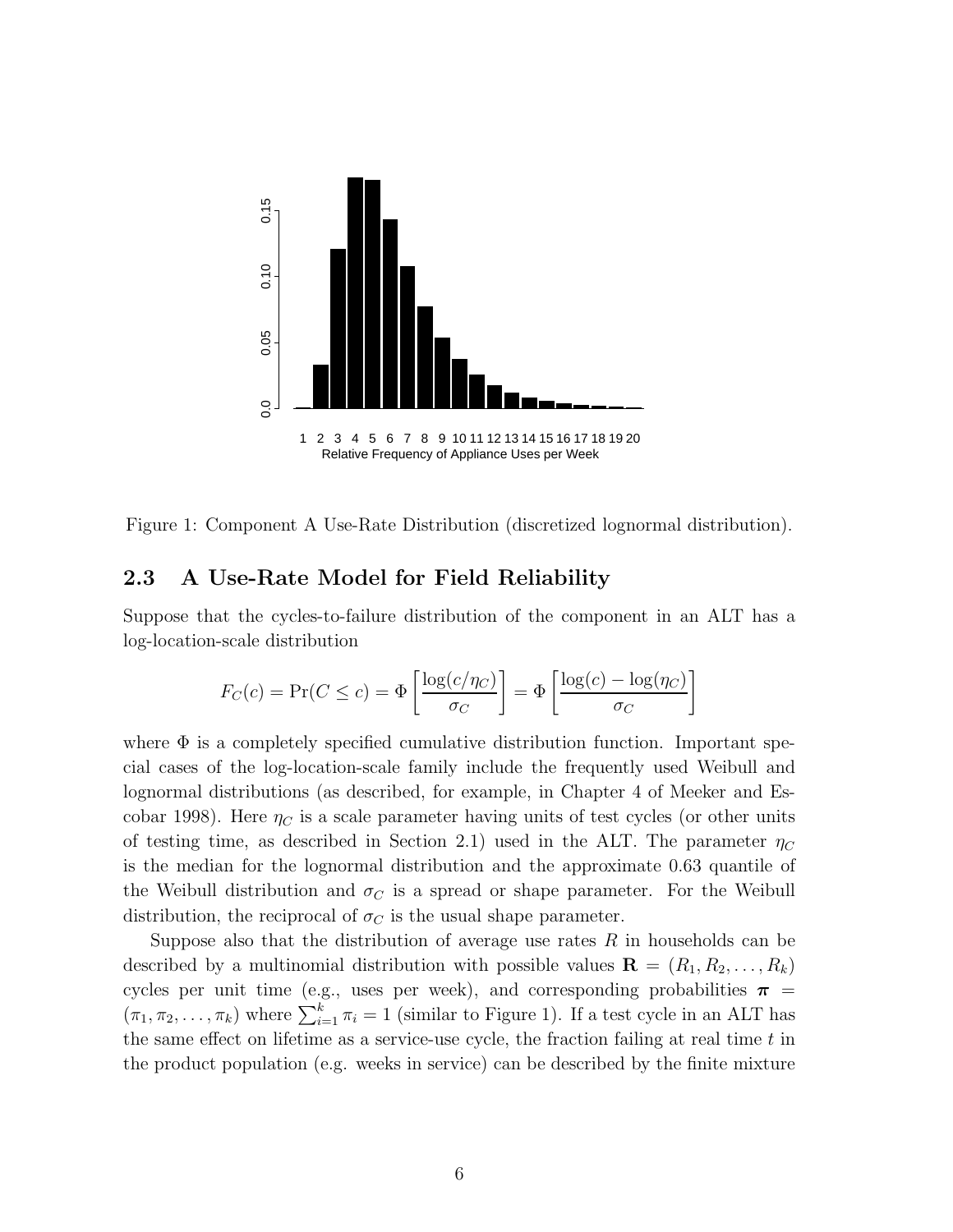

Figure 1: Component A Use-Rate Distribution (discretized lognormal distribution).

### 2.3 A Use-Rate Model for Field Reliability

Suppose that the cycles-to-failure distribution of the component in an ALT has a log-location-scale distribution

$$
F_C(c) = \Pr(C \le c) = \Phi\left[\frac{\log(c/\eta_C)}{\sigma_C}\right] = \Phi\left[\frac{\log(c) - \log(\eta_C)}{\sigma_C}\right]
$$

where  $\Phi$  is a completely specified cumulative distribution function. Important special cases of the log-location-scale family include the frequently used Weibull and lognormal distributions (as described, for example, in Chapter 4 of Meeker and Escobar 1998). Here  $\eta_C$  is a scale parameter having units of test cycles (or other units of testing time, as described in Section 2.1) used in the ALT. The parameter  $\eta_C$ is the median for the lognormal distribution and the approximate 0.63 quantile of the Weibull distribution and  $\sigma_C$  is a spread or shape parameter. For the Weibull distribution, the reciprocal of  $\sigma_C$  is the usual shape parameter.

Suppose also that the distribution of average use rates  $R$  in households can be described by a multinomial distribution with possible values  $\mathbf{R} = (R_1, R_2, \ldots, R_k)$ cycles per unit time (e.g., uses per week), and corresponding probabilities  $\pi$  =  $(\pi_1, \pi_2, \ldots, \pi_k)$  where  $\sum_{i=1}^k \pi_i = 1$  (similar to Figure 1). If a test cycle in an ALT has the same effect on lifetime as a service-use cycle, the fraction failing at real time  $t$  in the product population (e.g. weeks in service) can be described by the finite mixture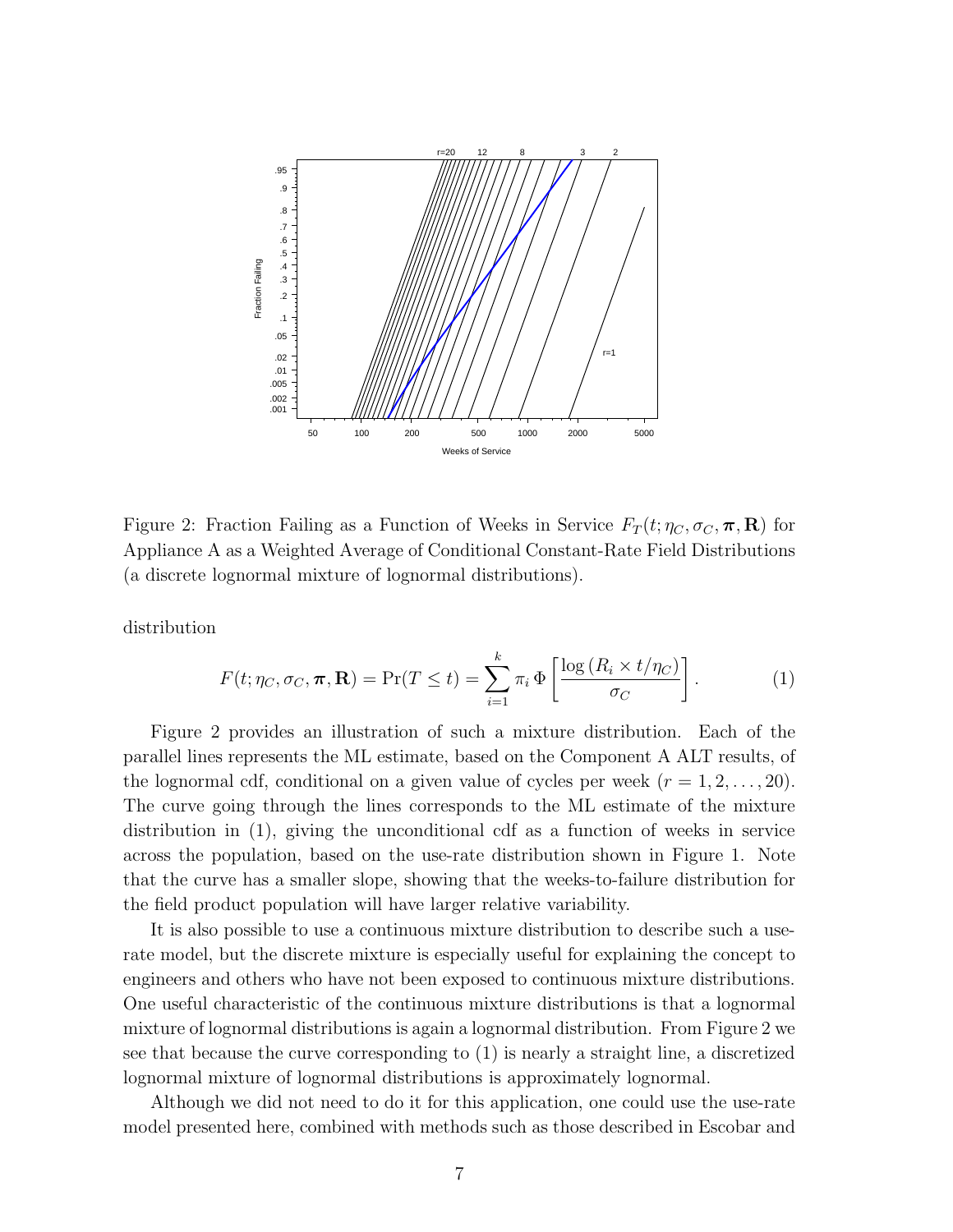

Figure 2: Fraction Failing as a Function of Weeks in Service  $F_T(t; \eta_C, \sigma_C, \pi, \mathbf{R})$  for Appliance A as a Weighted Average of Conditional Constant-Rate Field Distributions (a discrete lognormal mixture of lognormal distributions).

distribution

$$
F(t; \eta_C, \sigma_C, \boldsymbol{\pi}, \mathbf{R}) = \Pr(T \le t) = \sum_{i=1}^k \pi_i \, \Phi\left[\frac{\log\left(R_i \times t/\eta_C\right)}{\sigma_C}\right].\tag{1}
$$

Figure 2 provides an illustration of such a mixture distribution. Each of the parallel lines represents the ML estimate, based on the Component A ALT results, of the lognormal cdf, conditional on a given value of cycles per week  $(r = 1, 2, \ldots, 20)$ . The curve going through the lines corresponds to the ML estimate of the mixture distribution in (1), giving the unconditional cdf as a function of weeks in service across the population, based on the use-rate distribution shown in Figure 1. Note that the curve has a smaller slope, showing that the weeks-to-failure distribution for the field product population will have larger relative variability.

It is also possible to use a continuous mixture distribution to describe such a userate model, but the discrete mixture is especially useful for explaining the concept to engineers and others who have not been exposed to continuous mixture distributions. One useful characteristic of the continuous mixture distributions is that a lognormal mixture of lognormal distributions is again a lognormal distribution. From Figure 2 we see that because the curve corresponding to (1) is nearly a straight line, a discretized lognormal mixture of lognormal distributions is approximately lognormal.

Although we did not need to do it for this application, one could use the use-rate model presented here, combined with methods such as those described in Escobar and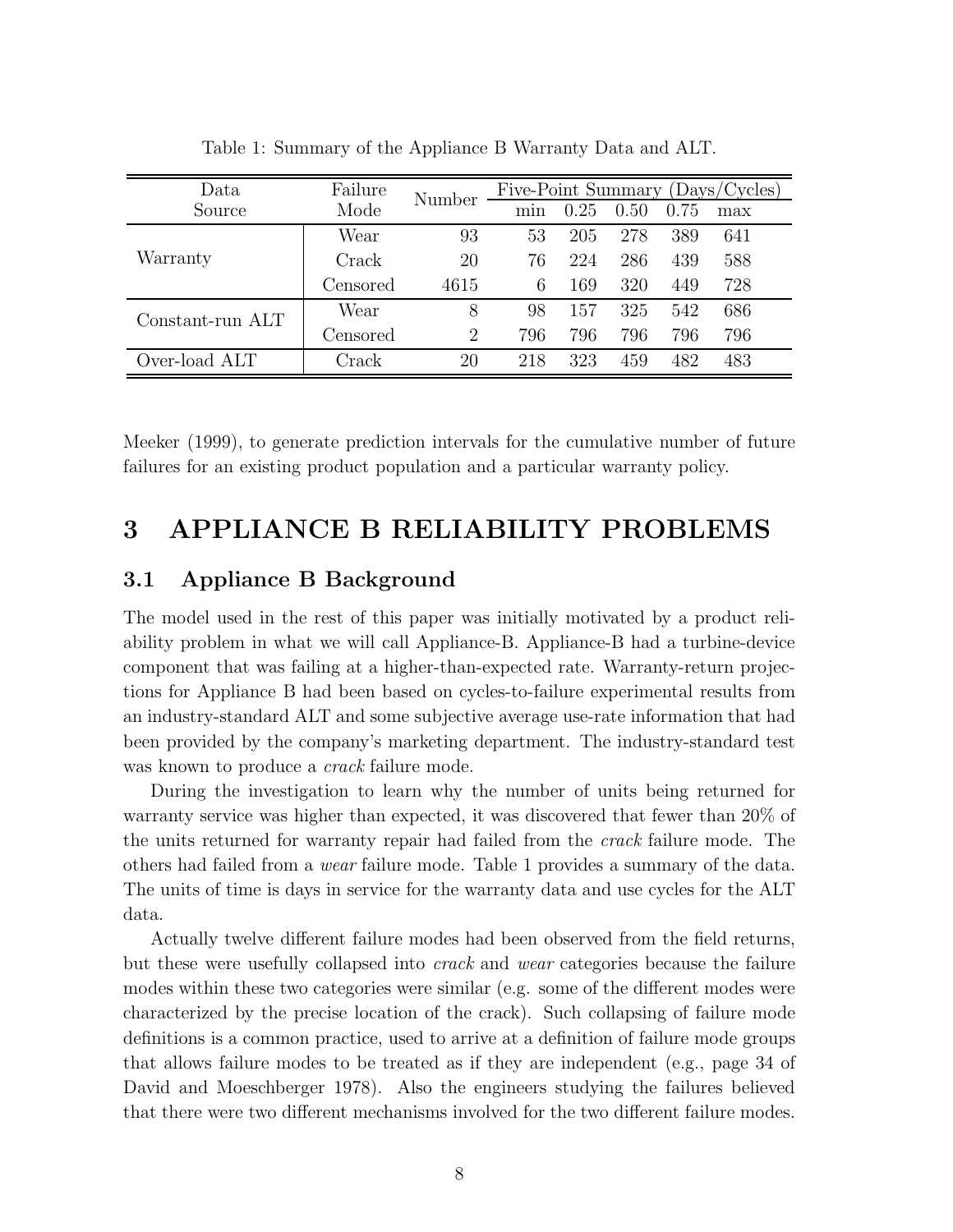| Data             | Failure  | Number | Five-Point Summary (Days/Cycles) |      |      |      |     |  |
|------------------|----------|--------|----------------------------------|------|------|------|-----|--|
| Source           | Mode     |        | min                              | 0.25 | 0.50 | 0.75 | max |  |
|                  | Wear     | 93     | 53                               | 205  | 278  | 389  | 641 |  |
| Warranty         | Crack    | 20     | 76                               | 224  | 286  | 439  | 588 |  |
|                  | Censored | 4615   | 6                                | 169  | 320  | 449  | 728 |  |
| Constant-run ALT | Wear     | 8      | 98                               | 157  | 325  | 542  | 686 |  |
|                  | Censored | 2      | 796                              | 796  | 796  | 796  | 796 |  |
| Over-load ALT    | Crack    | 20     | 218                              | 323  | 459  | 482  | 483 |  |

Table 1: Summary of the Appliance B Warranty Data and ALT.

Meeker (1999), to generate prediction intervals for the cumulative number of future failures for an existing product population and a particular warranty policy.

## 3 APPLIANCE B RELIABILITY PROBLEMS

#### 3.1 Appliance B Background

The model used in the rest of this paper was initially motivated by a product reliability problem in what we will call Appliance-B. Appliance-B had a turbine-device component that was failing at a higher-than-expected rate. Warranty-return projections for Appliance B had been based on cycles-to-failure experimental results from an industry-standard ALT and some subjective average use-rate information that had been provided by the company's marketing department. The industry-standard test was known to produce a *crack* failure mode.

During the investigation to learn why the number of units being returned for warranty service was higher than expected, it was discovered that fewer than 20% of the units returned for warranty repair had failed from the crack failure mode. The others had failed from a wear failure mode. Table 1 provides a summary of the data. The units of time is days in service for the warranty data and use cycles for the ALT data.

Actually twelve different failure modes had been observed from the field returns, but these were usefully collapsed into crack and wear categories because the failure modes within these two categories were similar (e.g. some of the different modes were characterized by the precise location of the crack). Such collapsing of failure mode definitions is a common practice, used to arrive at a definition of failure mode groups that allows failure modes to be treated as if they are independent (e.g., page 34 of David and Moeschberger 1978). Also the engineers studying the failures believed that there were two different mechanisms involved for the two different failure modes.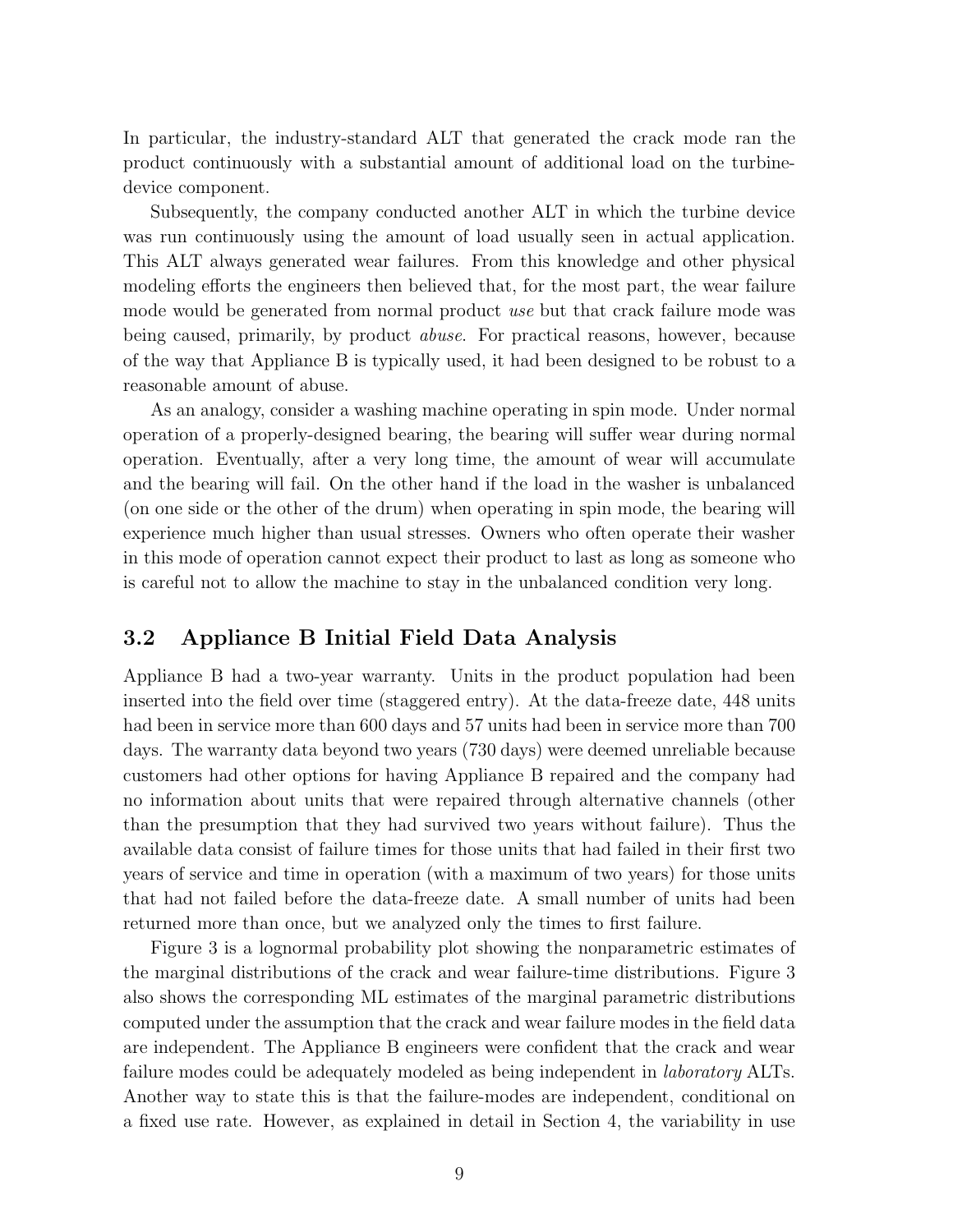In particular, the industry-standard ALT that generated the crack mode ran the product continuously with a substantial amount of additional load on the turbinedevice component.

Subsequently, the company conducted another ALT in which the turbine device was run continuously using the amount of load usually seen in actual application. This ALT always generated wear failures. From this knowledge and other physical modeling efforts the engineers then believed that, for the most part, the wear failure mode would be generated from normal product use but that crack failure mode was being caused, primarily, by product abuse. For practical reasons, however, because of the way that Appliance B is typically used, it had been designed to be robust to a reasonable amount of abuse.

As an analogy, consider a washing machine operating in spin mode. Under normal operation of a properly-designed bearing, the bearing will suffer wear during normal operation. Eventually, after a very long time, the amount of wear will accumulate and the bearing will fail. On the other hand if the load in the washer is unbalanced (on one side or the other of the drum) when operating in spin mode, the bearing will experience much higher than usual stresses. Owners who often operate their washer in this mode of operation cannot expect their product to last as long as someone who is careful not to allow the machine to stay in the unbalanced condition very long.

#### 3.2 Appliance B Initial Field Data Analysis

Appliance B had a two-year warranty. Units in the product population had been inserted into the field over time (staggered entry). At the data-freeze date, 448 units had been in service more than 600 days and 57 units had been in service more than 700 days. The warranty data beyond two years (730 days) were deemed unreliable because customers had other options for having Appliance B repaired and the company had no information about units that were repaired through alternative channels (other than the presumption that they had survived two years without failure). Thus the available data consist of failure times for those units that had failed in their first two years of service and time in operation (with a maximum of two years) for those units that had not failed before the data-freeze date. A small number of units had been returned more than once, but we analyzed only the times to first failure.

Figure 3 is a lognormal probability plot showing the nonparametric estimates of the marginal distributions of the crack and wear failure-time distributions. Figure 3 also shows the corresponding ML estimates of the marginal parametric distributions computed under the assumption that the crack and wear failure modes in the field data are independent. The Appliance B engineers were confident that the crack and wear failure modes could be adequately modeled as being independent in *laboratory* ALTs. Another way to state this is that the failure-modes are independent, conditional on a fixed use rate. However, as explained in detail in Section 4, the variability in use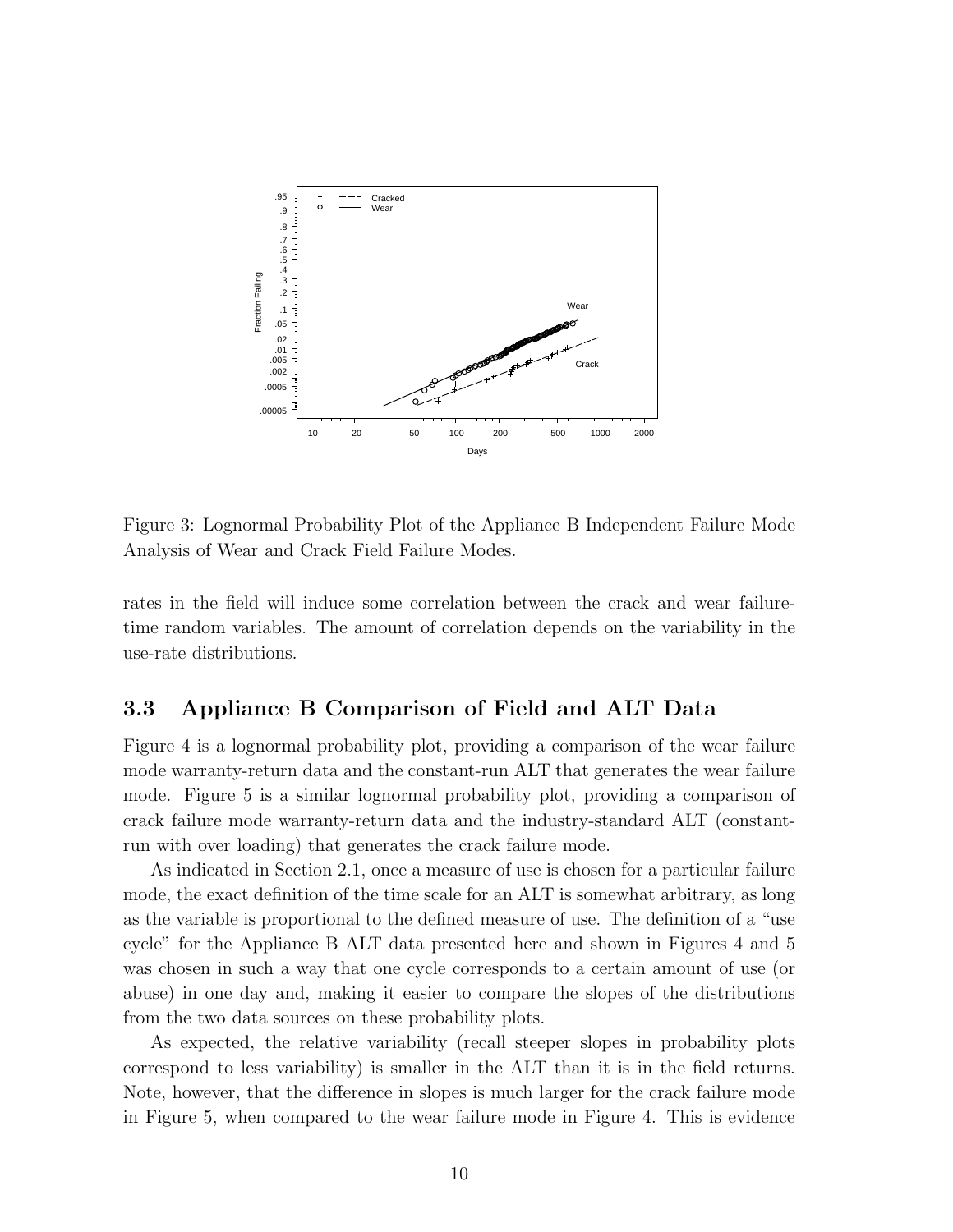

Figure 3: Lognormal Probability Plot of the Appliance B Independent Failure Mode Analysis of Wear and Crack Field Failure Modes.

rates in the field will induce some correlation between the crack and wear failuretime random variables. The amount of correlation depends on the variability in the use-rate distributions.

### 3.3 Appliance B Comparison of Field and ALT Data

Figure 4 is a lognormal probability plot, providing a comparison of the wear failure mode warranty-return data and the constant-run ALT that generates the wear failure mode. Figure 5 is a similar lognormal probability plot, providing a comparison of crack failure mode warranty-return data and the industry-standard ALT (constantrun with over loading) that generates the crack failure mode.

As indicated in Section 2.1, once a measure of use is chosen for a particular failure mode, the exact definition of the time scale for an ALT is somewhat arbitrary, as long as the variable is proportional to the defined measure of use. The definition of a "use cycle" for the Appliance B ALT data presented here and shown in Figures 4 and 5 was chosen in such a way that one cycle corresponds to a certain amount of use (or abuse) in one day and, making it easier to compare the slopes of the distributions from the two data sources on these probability plots.

As expected, the relative variability (recall steeper slopes in probability plots correspond to less variability) is smaller in the ALT than it is in the field returns. Note, however, that the difference in slopes is much larger for the crack failure mode in Figure 5, when compared to the wear failure mode in Figure 4. This is evidence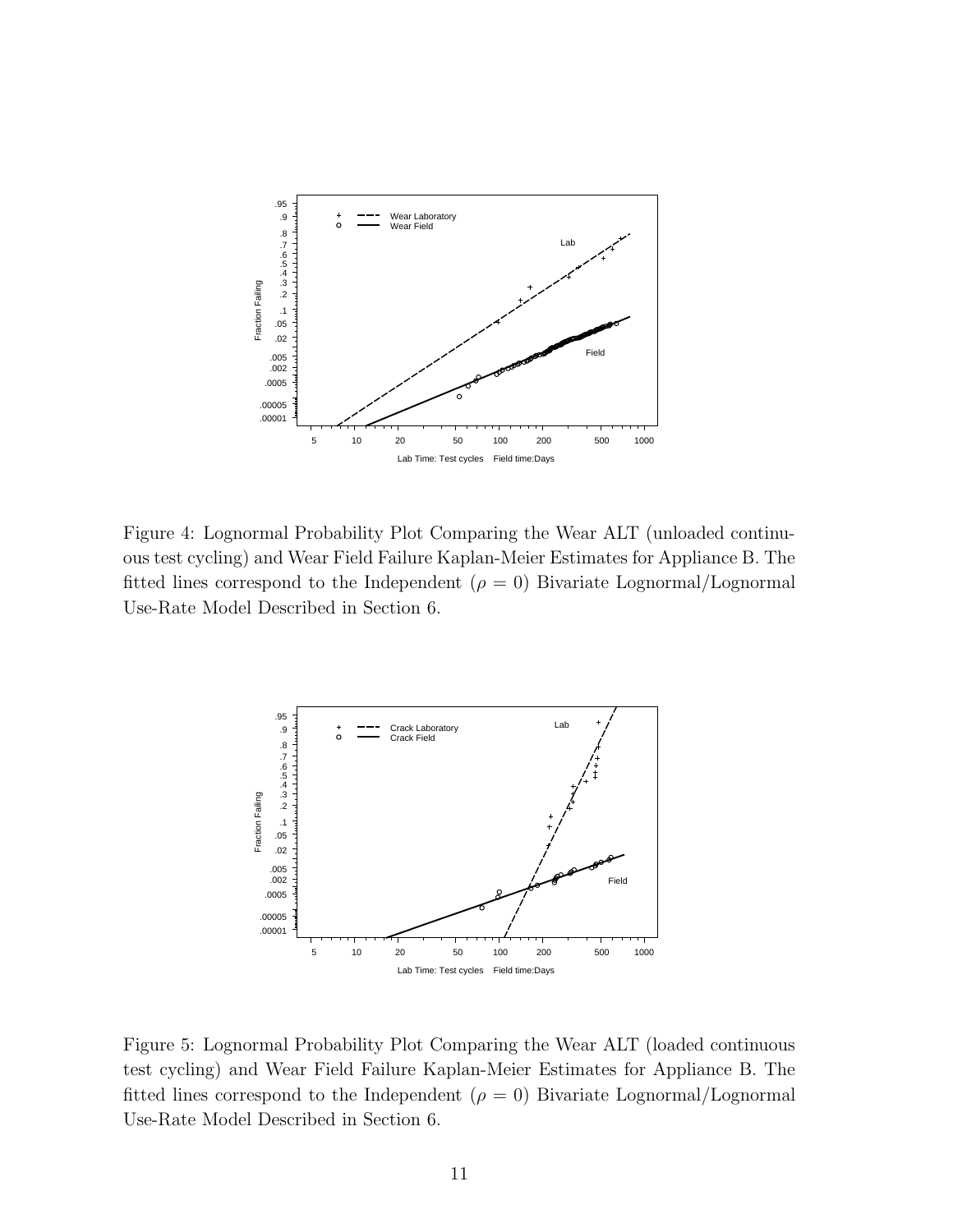

Figure 4: Lognormal Probability Plot Comparing the Wear ALT (unloaded continuous test cycling) and Wear Field Failure Kaplan-Meier Estimates for Appliance B. The fitted lines correspond to the Independent  $(\rho = 0)$  Bivariate Lognormal/Lognormal Use-Rate Model Described in Section 6.



Figure 5: Lognormal Probability Plot Comparing the Wear ALT (loaded continuous test cycling) and Wear Field Failure Kaplan-Meier Estimates for Appliance B. The fitted lines correspond to the Independent ( $\rho = 0$ ) Bivariate Lognormal/Lognormal Use-Rate Model Described in Section 6.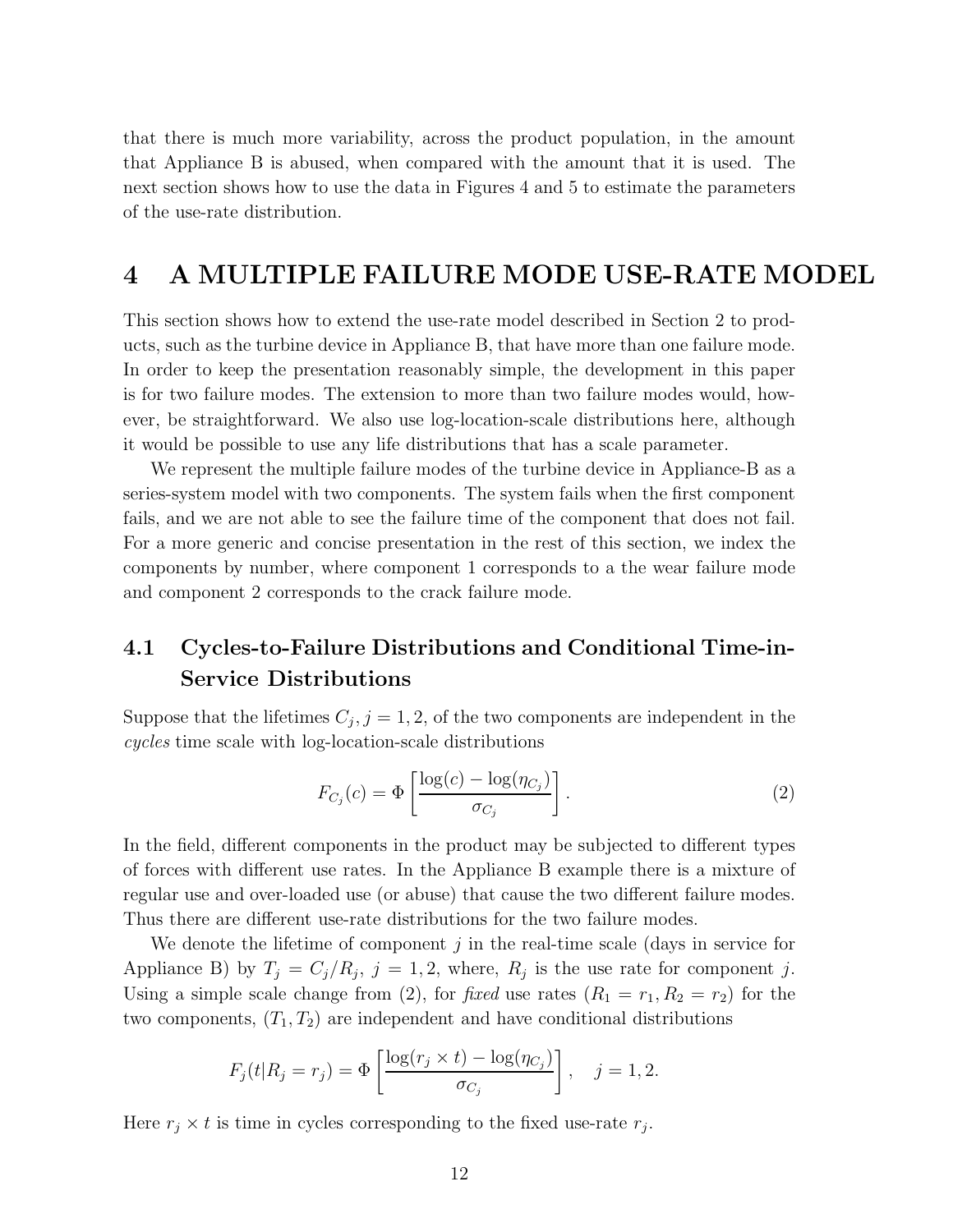that there is much more variability, across the product population, in the amount that Appliance B is abused, when compared with the amount that it is used. The next section shows how to use the data in Figures 4 and 5 to estimate the parameters of the use-rate distribution.

## 4 A MULTIPLE FAILURE MODE USE-RATE MODEL

This section shows how to extend the use-rate model described in Section 2 to products, such as the turbine device in Appliance B, that have more than one failure mode. In order to keep the presentation reasonably simple, the development in this paper is for two failure modes. The extension to more than two failure modes would, however, be straightforward. We also use log-location-scale distributions here, although it would be possible to use any life distributions that has a scale parameter.

We represent the multiple failure modes of the turbine device in Appliance-B as a series-system model with two components. The system fails when the first component fails, and we are not able to see the failure time of the component that does not fail. For a more generic and concise presentation in the rest of this section, we index the components by number, where component 1 corresponds to a the wear failure mode and component 2 corresponds to the crack failure mode.

## 4.1 Cycles-to-Failure Distributions and Conditional Time-in-Service Distributions

Suppose that the lifetimes  $C_j$ ,  $j = 1, 2$ , of the two components are independent in the cycles time scale with log-location-scale distributions

$$
F_{C_j}(c) = \Phi\left[\frac{\log(c) - \log(\eta_{C_j})}{\sigma_{C_j}}\right].
$$
\n(2)

In the field, different components in the product may be subjected to different types of forces with different use rates. In the Appliance B example there is a mixture of regular use and over-loaded use (or abuse) that cause the two different failure modes. Thus there are different use-rate distributions for the two failure modes.

We denote the lifetime of component  $j$  in the real-time scale (days in service for Appliance B) by  $T_j = C_j/R_j$ ,  $j = 1, 2$ , where,  $R_j$  is the use rate for component j. Using a simple scale change from (2), for fixed use rates  $(R_1 = r_1, R_2 = r_2)$  for the two components,  $(T_1, T_2)$  are independent and have conditional distributions

$$
F_j(t|R_j = r_j) = \Phi\left[\frac{\log(r_j \times t) - \log(\eta_{C_j})}{\sigma_{C_j}}\right], \quad j = 1, 2.
$$

Here  $r_j \times t$  is time in cycles corresponding to the fixed use-rate  $r_j$ .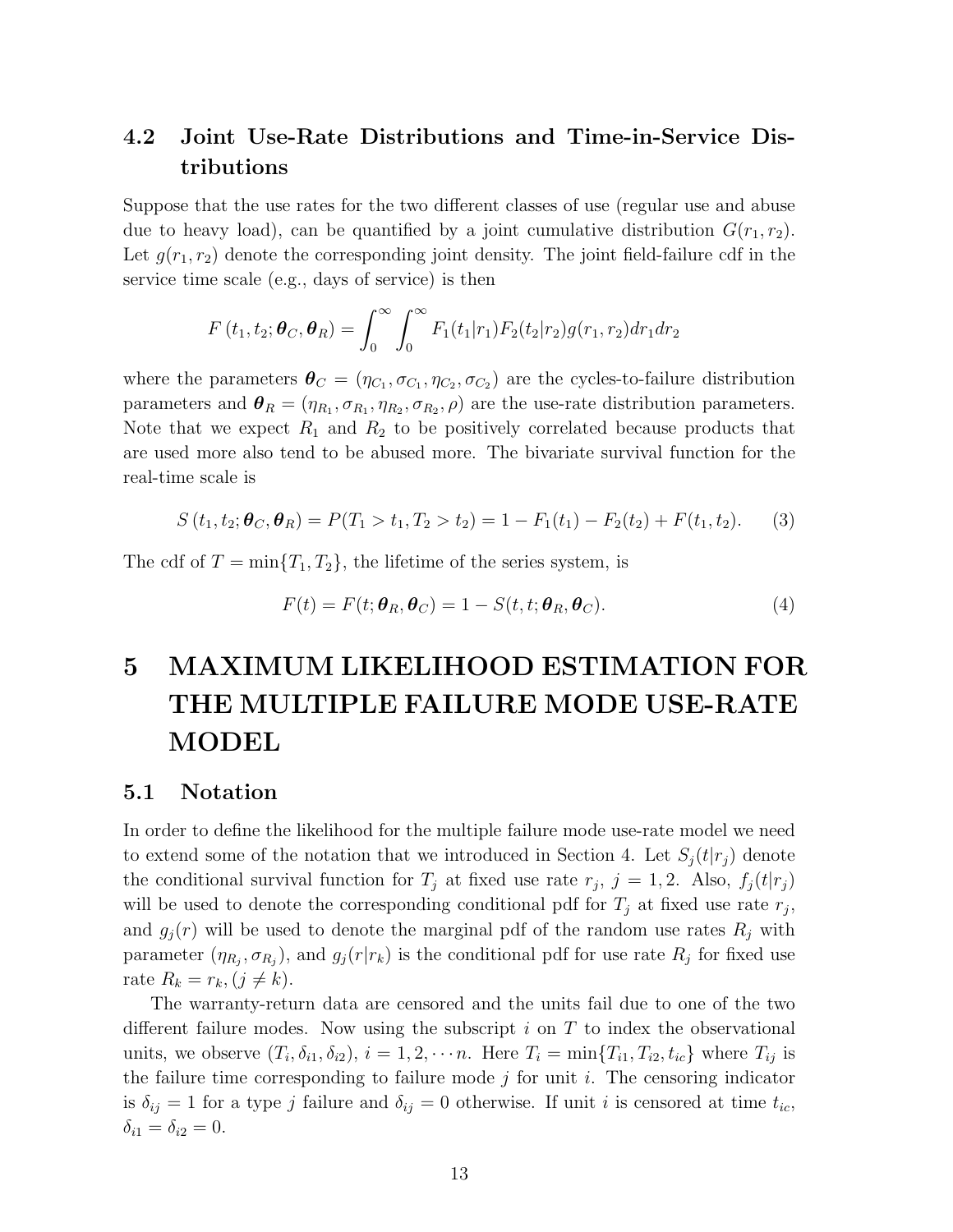## 4.2 Joint Use-Rate Distributions and Time-in-Service Distributions

Suppose that the use rates for the two different classes of use (regular use and abuse due to heavy load), can be quantified by a joint cumulative distribution  $G(r_1, r_2)$ . Let  $g(r_1, r_2)$  denote the corresponding joint density. The joint field-failure cdf in the service time scale (e.g., days of service) is then

$$
F(t_1, t_2; \boldsymbol{\theta}_C, \boldsymbol{\theta}_R) = \int_0^\infty \int_0^\infty F_1(t_1|r_1) F_2(t_2|r_2) g(r_1, r_2) dr_1 dr_2
$$

where the parameters  $\theta_C = (\eta_{C_1}, \sigma_{C_1}, \eta_{C_2}, \sigma_{C_2})$  are the cycles-to-failure distribution parameters and  $\theta_R = (\eta_{R_1}, \sigma_{R_1}, \eta_{R_2}, \sigma_{R_2}, \rho)$  are the use-rate distribution parameters. Note that we expect  $R_1$  and  $R_2$  to be positively correlated because products that are used more also tend to be abused more. The bivariate survival function for the real-time scale is

$$
S(t_1, t_2; \boldsymbol{\theta}_C, \boldsymbol{\theta}_R) = P(T_1 > t_1, T_2 > t_2) = 1 - F_1(t_1) - F_2(t_2) + F(t_1, t_2).
$$
 (3)

The cdf of  $T = \min\{T_1, T_2\}$ , the lifetime of the series system, is

$$
F(t) = F(t; \theta_R, \theta_C) = 1 - S(t, t; \theta_R, \theta_C).
$$
\n(4)

# 5 MAXIMUM LIKELIHOOD ESTIMATION FOR THE MULTIPLE FAILURE MODE USE-RATE MODEL

#### 5.1 Notation

In order to define the likelihood for the multiple failure mode use-rate model we need to extend some of the notation that we introduced in Section 4. Let  $S_i(t|r_i)$  denote the conditional survival function for  $T_j$  at fixed use rate  $r_j$ ,  $j = 1, 2$ . Also,  $f_j(t|r_j)$ will be used to denote the corresponding conditional pdf for  $T_j$  at fixed use rate  $r_j$ , and  $g_j(r)$  will be used to denote the marginal pdf of the random use rates  $R_j$  with parameter  $(\eta_{R_j}, \sigma_{R_j})$ , and  $g_j(r|r_k)$  is the conditional pdf for use rate  $R_j$  for fixed use rate  $R_k = r_k, (j \neq k)$ .

The warranty-return data are censored and the units fail due to one of the two different failure modes. Now using the subscript  $i$  on  $T$  to index the observational units, we observe  $(T_i, \delta_{i1}, \delta_{i2}), i = 1, 2, \cdots n$ . Here  $T_i = \min\{T_{i1}, T_{i2}, t_{ic}\}$  where  $T_{ij}$  is the failure time corresponding to failure mode  $j$  for unit i. The censoring indicator is  $\delta_{ij} = 1$  for a type j failure and  $\delta_{ij} = 0$  otherwise. If unit i is censored at time  $t_{ic}$ ,  $\delta_{i1} = \delta_{i2} = 0.$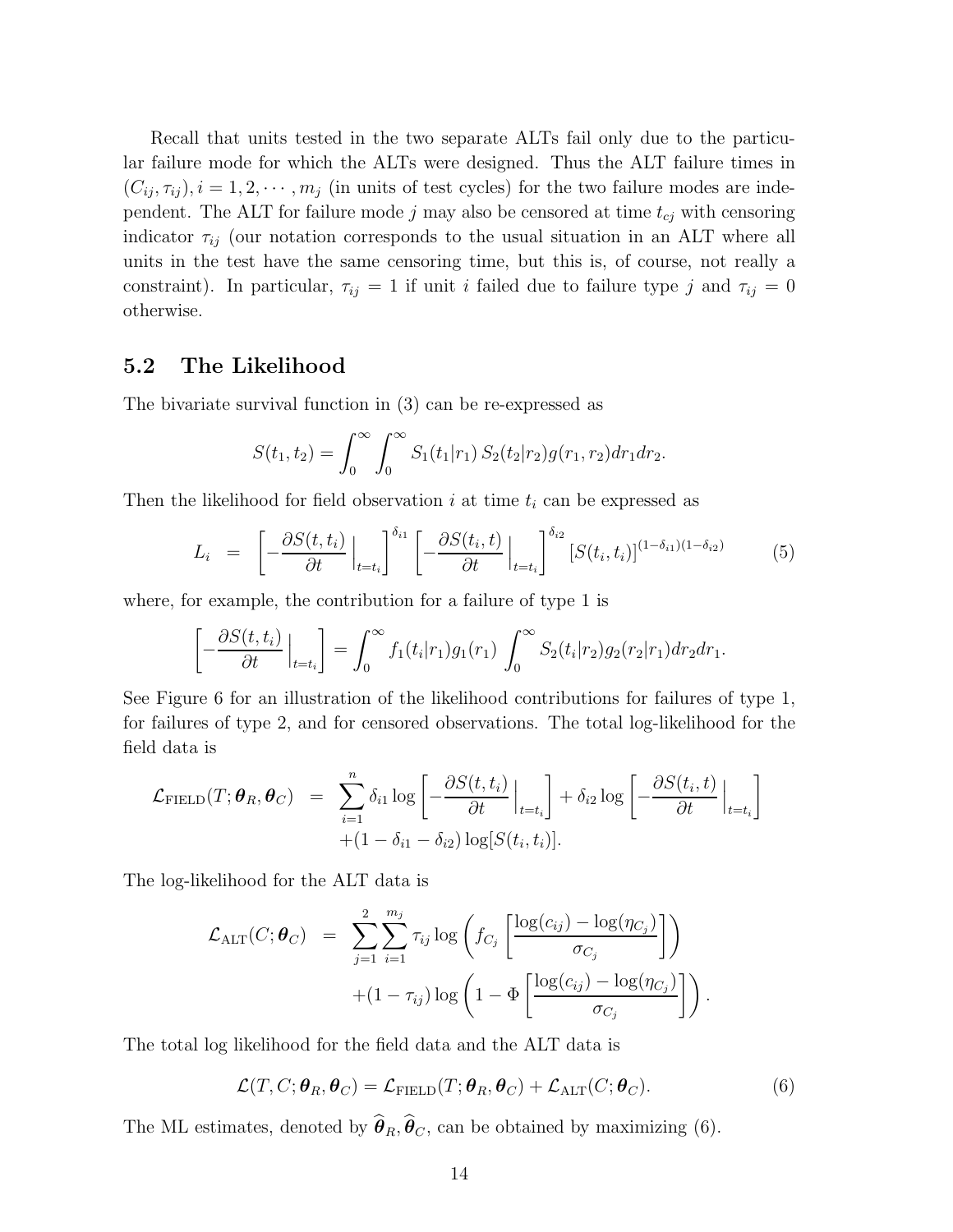Recall that units tested in the two separate ALTs fail only due to the particular failure mode for which the ALTs were designed. Thus the ALT failure times in  $(C_{ij}, \tau_{ij}), i = 1, 2, \cdots, m_j$  (in units of test cycles) for the two failure modes are independent. The ALT for failure mode j may also be censored at time  $t_{cj}$  with censoring indicator  $\tau_{ij}$  (our notation corresponds to the usual situation in an ALT where all units in the test have the same censoring time, but this is, of course, not really a constraint). In particular,  $\tau_{ij} = 1$  if unit i failed due to failure type j and  $\tau_{ij} = 0$ otherwise.

#### 5.2 The Likelihood

The bivariate survival function in (3) can be re-expressed as

$$
S(t_1, t_2) = \int_0^\infty \int_0^\infty S_1(t_1|r_1) S_2(t_2|r_2) g(r_1, r_2) dr_1 dr_2.
$$

Then the likelihood for field observation i at time  $t_i$  can be expressed as

$$
L_i = \left[ -\frac{\partial S(t, t_i)}{\partial t} \Big|_{t=t_i} \right]^{\delta_{i1}} \left[ -\frac{\partial S(t_i, t)}{\partial t} \Big|_{t=t_i} \right]^{\delta_{i2}} [S(t_i, t_i)]^{(1-\delta_{i1})(1-\delta_{i2})} \tag{5}
$$

where, for example, the contribution for a failure of type 1 is

$$
\left[-\frac{\partial S(t,t_i)}{\partial t}\Big|_{t=t_i}\right] = \int_0^\infty f_1(t_i|r_1)g_1(r_1)\int_0^\infty S_2(t_i|r_2)g_2(r_2|r_1)dr_2dr_1.
$$

See Figure 6 for an illustration of the likelihood contributions for failures of type 1, for failures of type 2, and for censored observations. The total log-likelihood for the field data is

$$
\mathcal{L}_{\text{FIELD}}(T; \boldsymbol{\theta}_R, \boldsymbol{\theta}_C) = \sum_{i=1}^n \delta_{i1} \log \left[ -\frac{\partial S(t, t_i)}{\partial t} \Big|_{t=t_i} \right] + \delta_{i2} \log \left[ -\frac{\partial S(t_i, t)}{\partial t} \Big|_{t=t_i} \right] + (1 - \delta_{i1} - \delta_{i2}) \log [S(t_i, t_i)].
$$

The log-likelihood for the ALT data is

$$
\mathcal{L}_{\text{ALT}}(C; \boldsymbol{\theta}_{C}) = \sum_{j=1}^{2} \sum_{i=1}^{m_j} \tau_{ij} \log \left( f_{C_j} \left[ \frac{\log(c_{ij}) - \log(\eta_{C_j})}{\sigma_{C_j}} \right] \right) + (1 - \tau_{ij}) \log \left( 1 - \Phi \left[ \frac{\log(c_{ij}) - \log(\eta_{C_j})}{\sigma_{C_j}} \right] \right).
$$

The total log likelihood for the field data and the ALT data is

$$
\mathcal{L}(T, C; \boldsymbol{\theta}_R, \boldsymbol{\theta}_C) = \mathcal{L}_{\text{FIELD}}(T; \boldsymbol{\theta}_R, \boldsymbol{\theta}_C) + \mathcal{L}_{\text{ALT}}(C; \boldsymbol{\theta}_C).
$$
(6)

The ML estimates, denoted by  $\widehat{\boldsymbol{\theta}}_R$ ,  $\widehat{\boldsymbol{\theta}}_C$ , can be obtained by maximizing (6).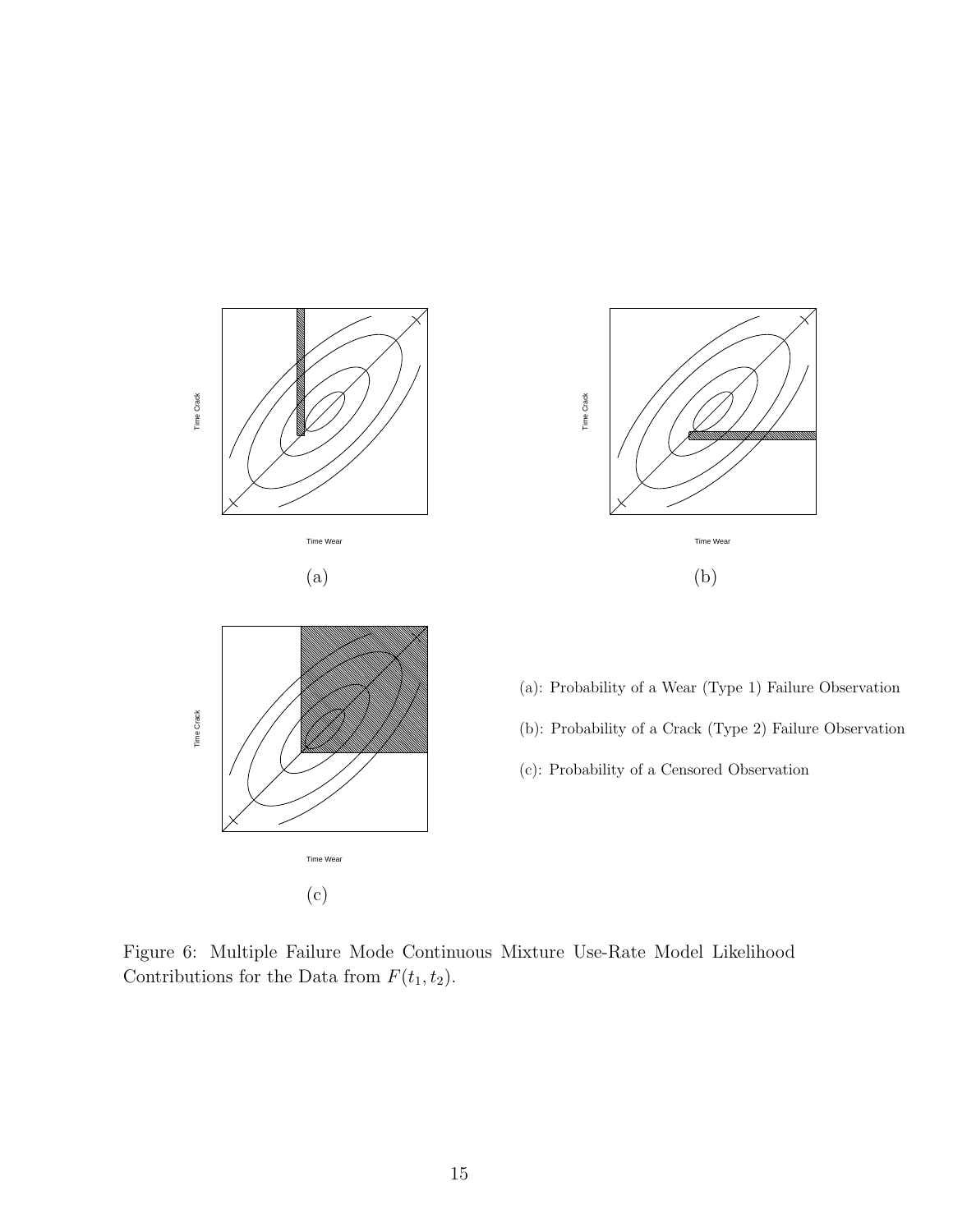

Figure 6: Multiple Failure Mode Continuous Mixture Use-Rate Model Likelihood Contributions for the Data from  $F(t_1, t_2)$ .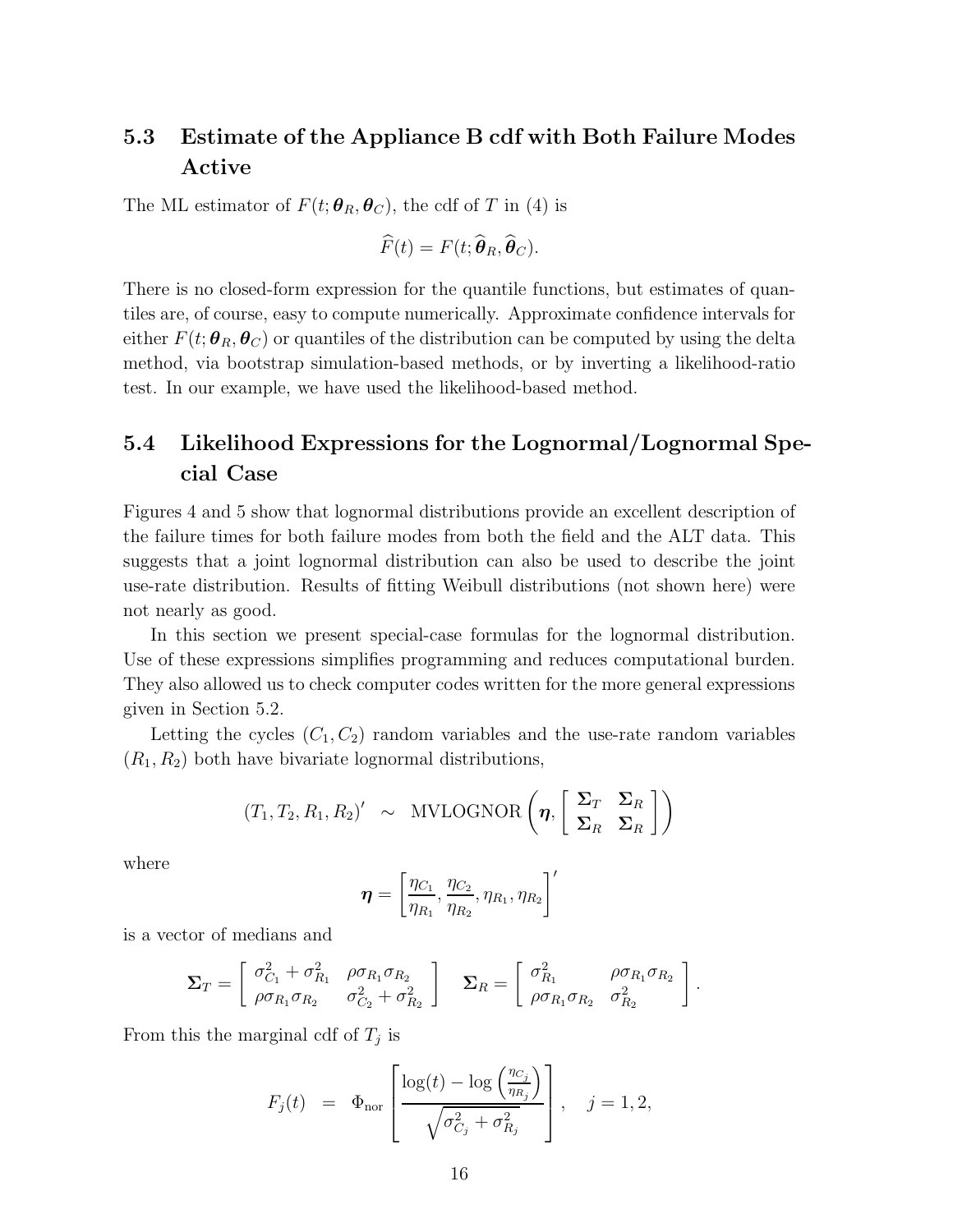## 5.3 Estimate of the Appliance B cdf with Both Failure Modes Active

The ML estimator of  $F(t; \theta_R, \theta_C)$ , the cdf of T in (4) is

$$
\widehat{F}(t)=F(t;\widehat{\boldsymbol{\theta}}_R,\widehat{\boldsymbol{\theta}}_C).
$$

There is no closed-form expression for the quantile functions, but estimates of quantiles are, of course, easy to compute numerically. Approximate confidence intervals for either  $F(t; \theta_R, \theta_C)$  or quantiles of the distribution can be computed by using the delta method, via bootstrap simulation-based methods, or by inverting a likelihood-ratio test. In our example, we have used the likelihood-based method.

## 5.4 Likelihood Expressions for the Lognormal/Lognormal Special Case

Figures 4 and 5 show that lognormal distributions provide an excellent description of the failure times for both failure modes from both the field and the ALT data. This suggests that a joint lognormal distribution can also be used to describe the joint use-rate distribution. Results of fitting Weibull distributions (not shown here) were not nearly as good.

In this section we present special-case formulas for the lognormal distribution. Use of these expressions simplifies programming and reduces computational burden. They also allowed us to check computer codes written for the more general expressions given in Section 5.2.

Letting the cycles  $(C_1, C_2)$  random variables and the use-rate random variables  $(R_1, R_2)$  both have bivariate lognormal distributions,

$$
(T_1, T_2, R_1, R_2)' \sim \text{MVLOGNOR}\left(\boldsymbol{\eta}, \left[\begin{array}{cc} \boldsymbol{\Sigma}_T & \boldsymbol{\Sigma}_R \\ \boldsymbol{\Sigma}_R & \boldsymbol{\Sigma}_R \end{array}\right]\right)
$$

where

$$
\boldsymbol{\eta} = \left[\frac{\eta_{C_1}}{\eta_{R_1}}, \frac{\eta_{C_2}}{\eta_{R_2}}, \eta_{R_1}, \eta_{R_2}\right]'
$$

is a vector of medians and

$$
\Sigma_T = \begin{bmatrix} \sigma_{C_1}^2 + \sigma_{R_1}^2 & \rho \sigma_{R_1} \sigma_{R_2} \\ \rho \sigma_{R_1} \sigma_{R_2} & \sigma_{C_2}^2 + \sigma_{R_2}^2 \end{bmatrix} \quad \Sigma_R = \begin{bmatrix} \sigma_{R_1}^2 & \rho \sigma_{R_1} \sigma_{R_2} \\ \rho \sigma_{R_1} \sigma_{R_2} & \sigma_{R_2}^2 \end{bmatrix}.
$$

From this the marginal cdf of  $T_j$  is

$$
F_j(t) = \Phi_{\text{nor}} \left[ \frac{\log(t) - \log\left(\frac{\eta c_j}{\eta_{R_j}}\right)}{\sqrt{\sigma_{C_j}^2 + \sigma_{R_j}^2}} \right], \quad j = 1, 2,
$$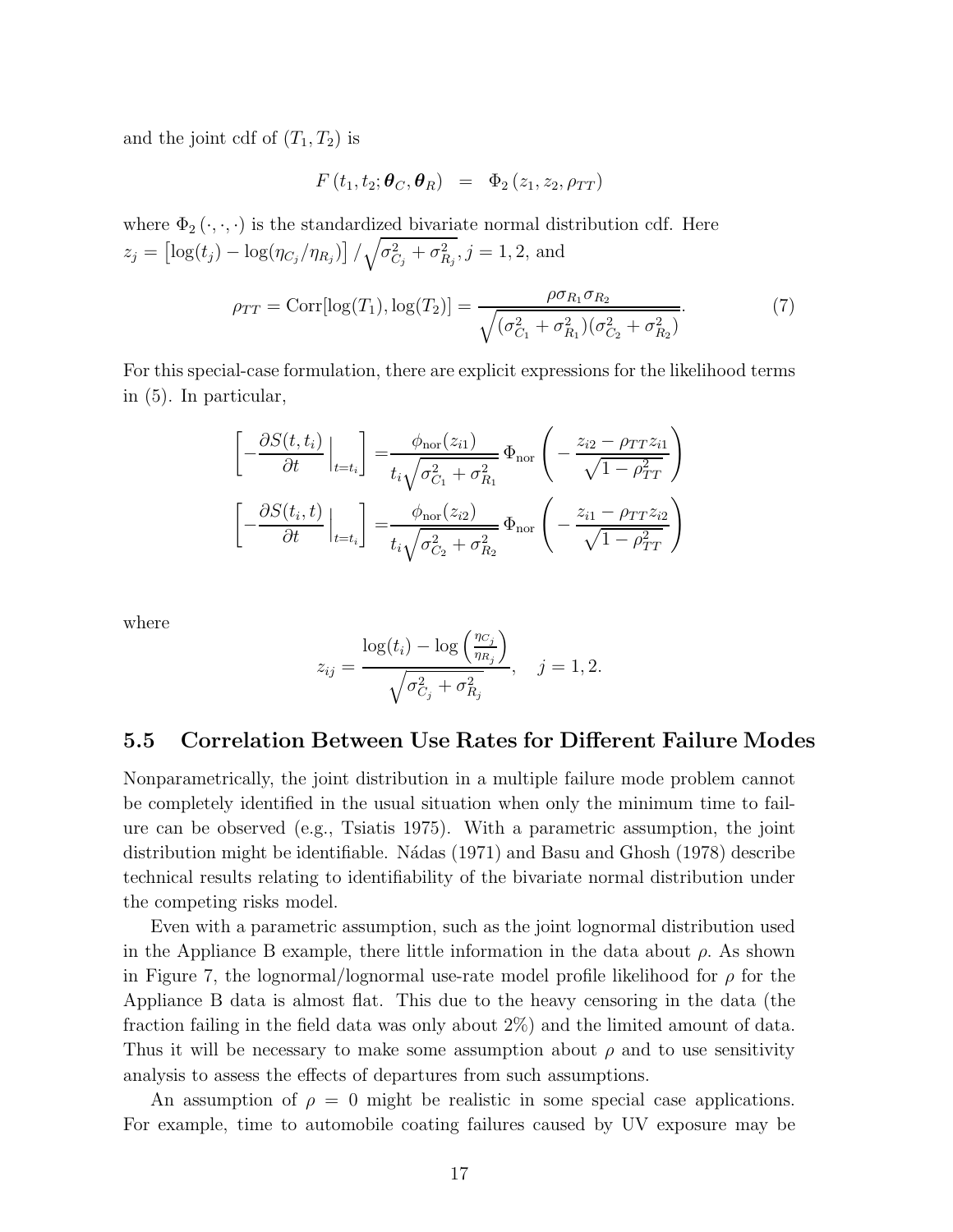and the joint cdf of  $(T_1, T_2)$  is

$$
F(t_1, t_2; \boldsymbol{\theta}_C, \boldsymbol{\theta}_R) = \Phi_2(z_1, z_2, \rho_{TT})
$$

where  $\Phi_2(\cdot,\cdot,\cdot)$  is the standardized bivariate normal distribution cdf. Here  $z_j = \left[ \log(t_j) - \log(\eta_{C_j}/\eta_{R_j}) \right] / \sqrt{\sigma_{C_j}^2 + \sigma_{R_j}^2}, j = 1, 2$ , and

$$
\rho_{TT} = \text{Corr}[\log(T_1), \log(T_2)] = \frac{\rho \sigma_{R_1} \sigma_{R_2}}{\sqrt{(\sigma_{C_1}^2 + \sigma_{R_1}^2)(\sigma_{C_2}^2 + \sigma_{R_2}^2)}}.
$$
(7)

For this special-case formulation, there are explicit expressions for the likelihood terms in (5). In particular,

$$
\begin{aligned}\n\left[-\frac{\partial S(t,t_i)}{\partial t}\Big|_{t=t_i}\right] &= \frac{\phi_{\text{nor}}(z_{i1})}{t_i\sqrt{\sigma_{C_1}^2 + \sigma_{R_1}^2}} \Phi_{\text{nor}}\left(-\frac{z_{i2} - \rho_{TT}z_{i1}}{\sqrt{1 - \rho_{TT}^2}}\right) \\
\left[-\frac{\partial S(t_i,t)}{\partial t}\Big|_{t=t_i}\right] &= \frac{\phi_{\text{nor}}(z_{i2})}{t_i\sqrt{\sigma_{C_2}^2 + \sigma_{R_2}^2}} \Phi_{\text{nor}}\left(-\frac{z_{i1} - \rho_{TT}z_{i2}}{\sqrt{1 - \rho_{TT}^2}}\right)\n\end{aligned}
$$

where

$$
z_{ij} = \frac{\log(t_i) - \log\left(\frac{\eta_{C_j}}{\eta_{R_j}}\right)}{\sqrt{\sigma_{C_j}^2 + \sigma_{R_j}^2}}, \quad j = 1, 2.
$$

#### 5.5 Correlation Between Use Rates for Different Failure Modes

Nonparametrically, the joint distribution in a multiple failure mode problem cannot be completely identified in the usual situation when only the minimum time to failure can be observed (e.g., Tsiatis 1975). With a parametric assumption, the joint distribution might be identifiable. N´adas (1971) and Basu and Ghosh (1978) describe technical results relating to identifiability of the bivariate normal distribution under the competing risks model.

Even with a parametric assumption, such as the joint lognormal distribution used in the Appliance B example, there little information in the data about  $\rho$ . As shown in Figure 7, the lognormal/lognormal use-rate model profile likelihood for  $\rho$  for the Appliance B data is almost flat. This due to the heavy censoring in the data (the fraction failing in the field data was only about 2%) and the limited amount of data. Thus it will be necessary to make some assumption about  $\rho$  and to use sensitivity analysis to assess the effects of departures from such assumptions.

An assumption of  $\rho = 0$  might be realistic in some special case applications. For example, time to automobile coating failures caused by UV exposure may be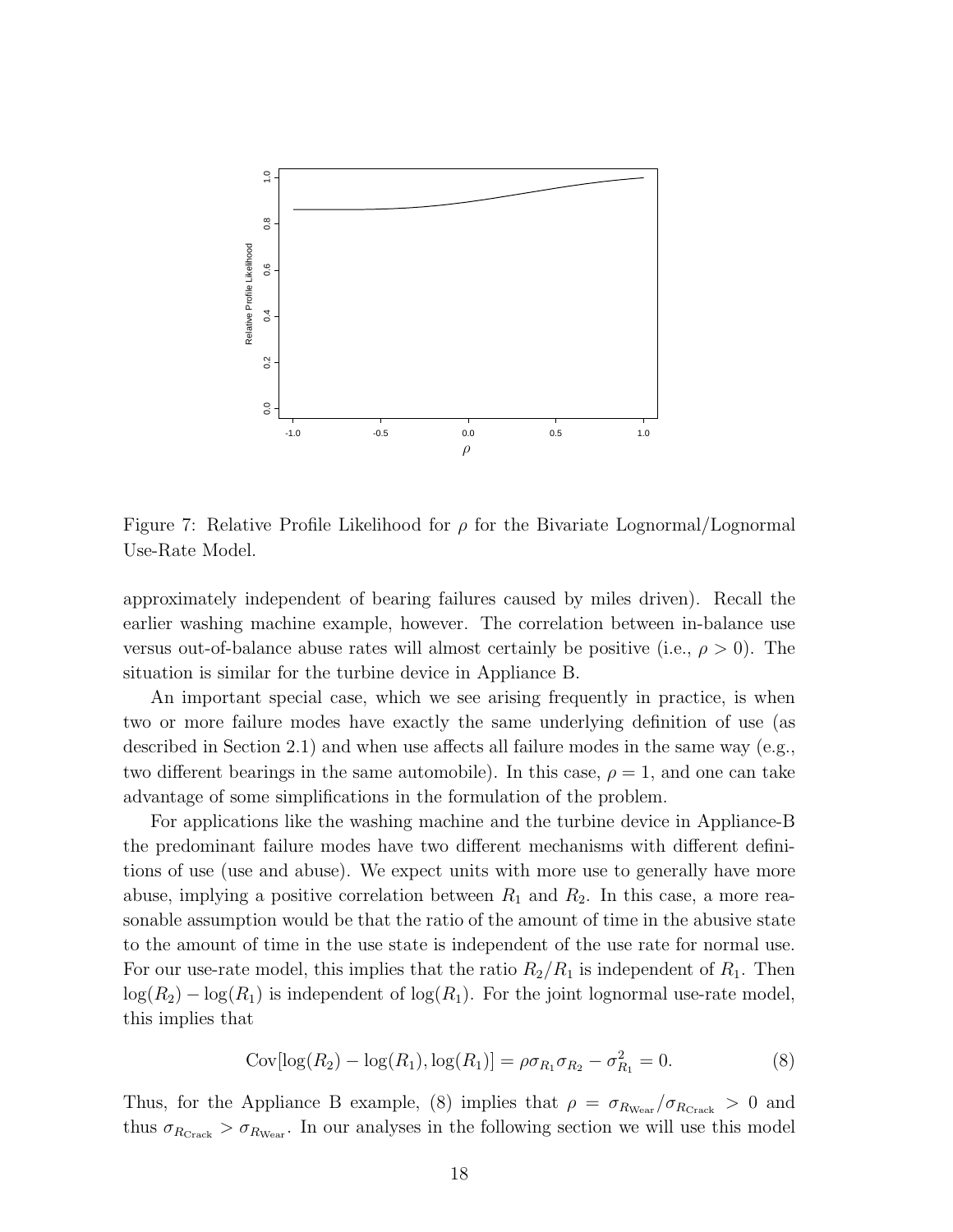

Figure 7: Relative Profile Likelihood for  $\rho$  for the Bivariate Lognormal/Lognormal Use-Rate Model.

approximately independent of bearing failures caused by miles driven). Recall the earlier washing machine example, however. The correlation between in-balance use versus out-of-balance abuse rates will almost certainly be positive (i.e.,  $\rho > 0$ ). The situation is similar for the turbine device in Appliance B.

An important special case, which we see arising frequently in practice, is when two or more failure modes have exactly the same underlying definition of use (as described in Section 2.1) and when use affects all failure modes in the same way (e.g., two different bearings in the same automobile). In this case,  $\rho = 1$ , and one can take advantage of some simplifications in the formulation of the problem.

For applications like the washing machine and the turbine device in Appliance-B the predominant failure modes have two different mechanisms with different definitions of use (use and abuse). We expect units with more use to generally have more abuse, implying a positive correlation between  $R_1$  and  $R_2$ . In this case, a more reasonable assumption would be that the ratio of the amount of time in the abusive state to the amount of time in the use state is independent of the use rate for normal use. For our use-rate model, this implies that the ratio  $R_2/R_1$  is independent of  $R_1$ . Then  $log(R_2) - log(R_1)$  is independent of  $log(R_1)$ . For the joint lognormal use-rate model, this implies that

$$
Cov[log(R_2) - log(R_1), log(R_1)] = \rho \sigma_{R_1} \sigma_{R_2} - \sigma_{R_1}^2 = 0.
$$
\n(8)

Thus, for the Appliance B example, (8) implies that  $\rho = \sigma_{R_{\text{Wear}}}/\sigma_{R_{\text{Crack}}} > 0$  and thus  $\sigma_{R_{\text{Crack}}} > \sigma_{R_{\text{Wear}}}$ . In our analyses in the following section we will use this model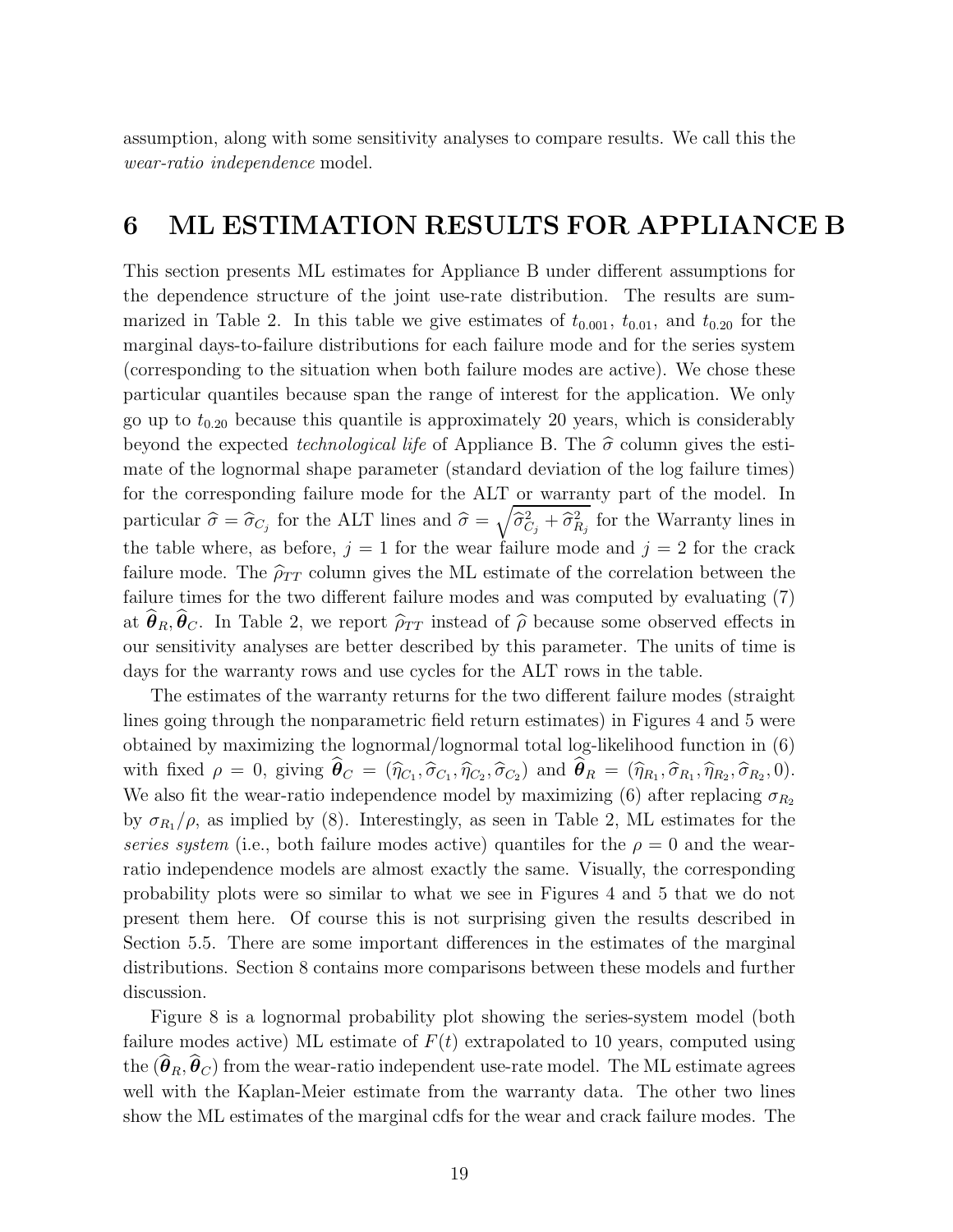assumption, along with some sensitivity analyses to compare results. We call this the wear-ratio independence model.

## 6 ML ESTIMATION RESULTS FOR APPLIANCE B

This section presents ML estimates for Appliance B under different assumptions for the dependence structure of the joint use-rate distribution. The results are summarized in Table 2. In this table we give estimates of  $t_{0.001}$ ,  $t_{0.01}$ , and  $t_{0.20}$  for the marginal days-to-failure distributions for each failure mode and for the series system (corresponding to the situation when both failure modes are active). We chose these particular quantiles because span the range of interest for the application. We only go up to  $t_{0.20}$  because this quantile is approximately 20 years, which is considerably beyond the expected *technological life* of Appliance B. The  $\hat{\sigma}$  column gives the estimate of the lognormal shape parameter (standard deviation of the log failure times) for the corresponding failure mode for the ALT or warranty part of the model. In particular  $\hat{\sigma} = \hat{\sigma}_{C_j}$  for the ALT lines and  $\hat{\sigma} = \sqrt{\hat{\sigma}_{C_j}^2 + \hat{\sigma}_{R_j}^2}$  for the Warranty lines in the table where, as before,  $j = 1$  for the wear failure mode and  $j = 2$  for the crack failure mode. The  $\widehat{\rho}_{TT}$  column gives the ML estimate of the correlation between the failure times for the two different failure modes and was computed by evaluating (7) at  $\hat{\theta}_R, \hat{\theta}_C$ . In Table 2, we report  $\hat{\rho}_{TT}$  instead of  $\hat{\rho}$  because some observed effects in our sensitivity analyses are better described by this parameter. The units of time is days for the warranty rows and use cycles for the ALT rows in the table.

The estimates of the warranty returns for the two different failure modes (straight lines going through the nonparametric field return estimates) in Figures 4 and 5 were obtained by maximizing the lognormal/lognormal total log-likelihood function in (6) with fixed  $\rho = 0$ , giving  $\boldsymbol{\theta}_C = (\widehat{\eta}_{C_1}, \widehat{\sigma}_{C_1}, \widehat{\eta}_{C_2}, \widehat{\sigma}_{C_2})$  and  $\boldsymbol{\theta}_R = (\widehat{\eta}_{R_1}, \widehat{\sigma}_{R_1}, \widehat{\eta}_{R_2}, \widehat{\sigma}_{R_2}, 0)$ . We also fit the wear-ratio independence model by maximizing (6) after replacing  $\sigma_{R_2}$ by  $\sigma_{R_1}/\rho$ , as implied by (8). Interestingly, as seen in Table 2, ML estimates for the series system (i.e., both failure modes active) quantiles for the  $\rho = 0$  and the wearratio independence models are almost exactly the same. Visually, the corresponding probability plots were so similar to what we see in Figures 4 and 5 that we do not present them here. Of course this is not surprising given the results described in Section 5.5. There are some important differences in the estimates of the marginal distributions. Section 8 contains more comparisons between these models and further discussion.

Figure 8 is a lognormal probability plot showing the series-system model (both failure modes active) ML estimate of  $F(t)$  extrapolated to 10 years, computed using the  $(\widehat{\boldsymbol{\theta}}_R, \widehat{\boldsymbol{\theta}}_C)$  from the wear-ratio independent use-rate model. The ML estimate agrees well with the Kaplan-Meier estimate from the warranty data. The other two lines show the ML estimates of the marginal cdfs for the wear and crack failure modes. The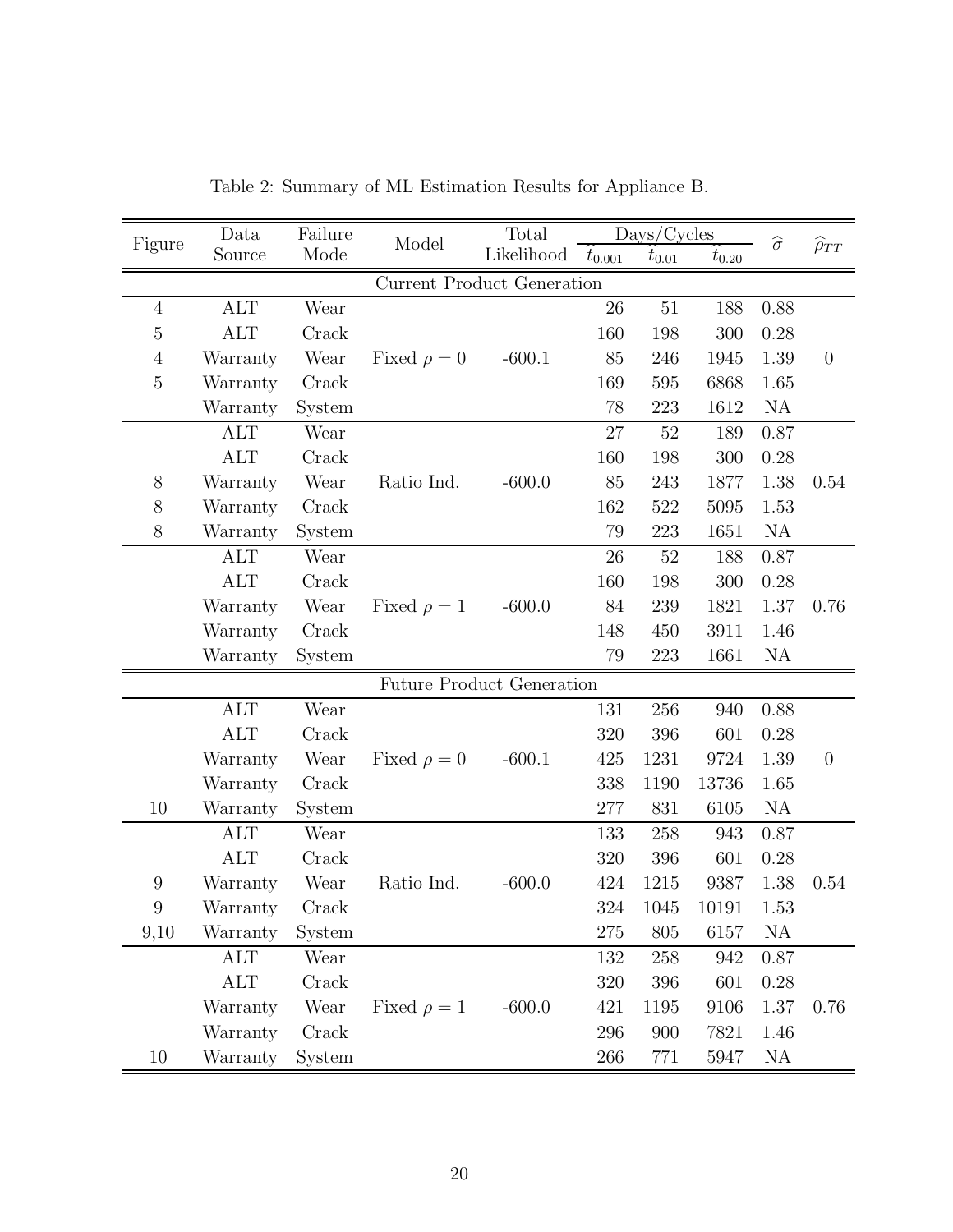| Figure                            | Data         | Failure<br>Mode | Model            | Total      | Days/Cycles |            |            | $\widehat{\sigma}$ | $\widehat{\rho}_{TT}$ |  |  |
|-----------------------------------|--------------|-----------------|------------------|------------|-------------|------------|------------|--------------------|-----------------------|--|--|
|                                   | Source       |                 |                  | Likelihood | $t_{0.001}$ | $t_{0.01}$ | $t_{0.20}$ |                    |                       |  |  |
| <b>Current Product Generation</b> |              |                 |                  |            |             |            |            |                    |                       |  |  |
| $\overline{4}$                    | $\mbox{ALT}$ | Wear            |                  |            | 26          | $51\,$     | 188        | 0.88               |                       |  |  |
| $\bf 5$                           | <b>ALT</b>   | Crack           |                  |            | 160         | 198        | 300        | 0.28               |                       |  |  |
| $\overline{4}$                    | Warranty     | Wear            | Fixed $\rho = 0$ | $-600.1$   | 85          | 246        | 1945       | 1.39               | $\theta$              |  |  |
| $\bf 5$                           | Warranty     | Crack           |                  |            | 169         | 595        | 6868       | 1.65               |                       |  |  |
|                                   | Warranty     | System          |                  |            | 78          | 223        | 1612       | NA                 |                       |  |  |
|                                   | <b>ALT</b>   | Wear            |                  |            | 27          | $52\,$     | 189        | 0.87               |                       |  |  |
|                                   | <b>ALT</b>   | Crack           |                  |            | 160         | 198        | 300        | 0.28               |                       |  |  |
| $8\,$                             | Warranty     | Wear            | Ratio Ind.       | $-600.0$   | 85          | 243        | 1877       | 1.38               | 0.54                  |  |  |
| 8                                 | Warranty     | Crack           |                  |            | 162         | 522        | 5095       | 1.53               |                       |  |  |
| $8\,$                             | Warranty     | System          |                  |            | 79          | 223        | 1651       | NA                 |                       |  |  |
|                                   | <b>ALT</b>   | Wear            |                  |            | 26          | $52\,$     | 188        | 0.87               |                       |  |  |
|                                   | <b>ALT</b>   | Crack           |                  |            | 160         | 198        | 300        | 0.28               |                       |  |  |
|                                   | Warranty     | Wear            | Fixed $\rho = 1$ | $-600.0$   | 84          | 239        | 1821       | 1.37               | 0.76                  |  |  |
|                                   | Warranty     | Crack           |                  |            | 148         | 450        | 3911       | 1.46               |                       |  |  |
|                                   | Warranty     | System          |                  |            | 79          | 223        | 1661       | NA                 |                       |  |  |
| <b>Future Product Generation</b>  |              |                 |                  |            |             |            |            |                    |                       |  |  |
|                                   | <b>ALT</b>   | Wear            |                  |            | 131         | 256        | 940        | 0.88               |                       |  |  |
|                                   | <b>ALT</b>   | Crack           |                  |            | 320         | 396        | 601        | 0.28               |                       |  |  |
|                                   | Warranty     | Wear            | Fixed $\rho = 0$ | $-600.1$   | 425         | 1231       | 9724       | 1.39               | $\theta$              |  |  |
|                                   | Warranty     | Crack           |                  |            | 338         | 1190       | 13736      | 1.65               |                       |  |  |
| $10\,$                            | Warranty     | System          |                  |            | 277         | 831        | 6105       | NA                 |                       |  |  |
|                                   | <b>ALT</b>   | Wear            |                  |            | 133         | 258        | 943        | 0.87               |                       |  |  |
|                                   | <b>ALT</b>   | Crack           |                  |            | 320         | 396        | 601        | 0.28               |                       |  |  |
| 9                                 | Warranty     | Wear            | Ratio Ind.       | $-600.0$   | 424         | 1215       | 9387       | 1.38               | 0.54                  |  |  |
| 9                                 | Warranty     | Crack           |                  |            | 324         | 1045       | 10191      | 1.53               |                       |  |  |
| 9,10                              | Warranty     | System          |                  |            | $275\,$     | 805        | 6157       | NA                 |                       |  |  |
|                                   | <b>ALT</b>   | Wear            |                  |            | 132         | 258        | 942        | 0.87               |                       |  |  |
|                                   | ALT          | Crack           |                  |            | 320         | 396        | 601        | 0.28               |                       |  |  |
|                                   | Warranty     | Wear            | Fixed $\rho = 1$ | $-600.0$   | 421         | 1195       | 9106       | 1.37               | 0.76                  |  |  |
|                                   | Warranty     | Crack           |                  |            | 296         | 900        | 7821       | 1.46               |                       |  |  |
| 10                                | Warranty     | System          |                  |            | 266         | 771        | 5947       | <b>NA</b>          |                       |  |  |

Table 2: Summary of ML Estimation Results for Appliance B.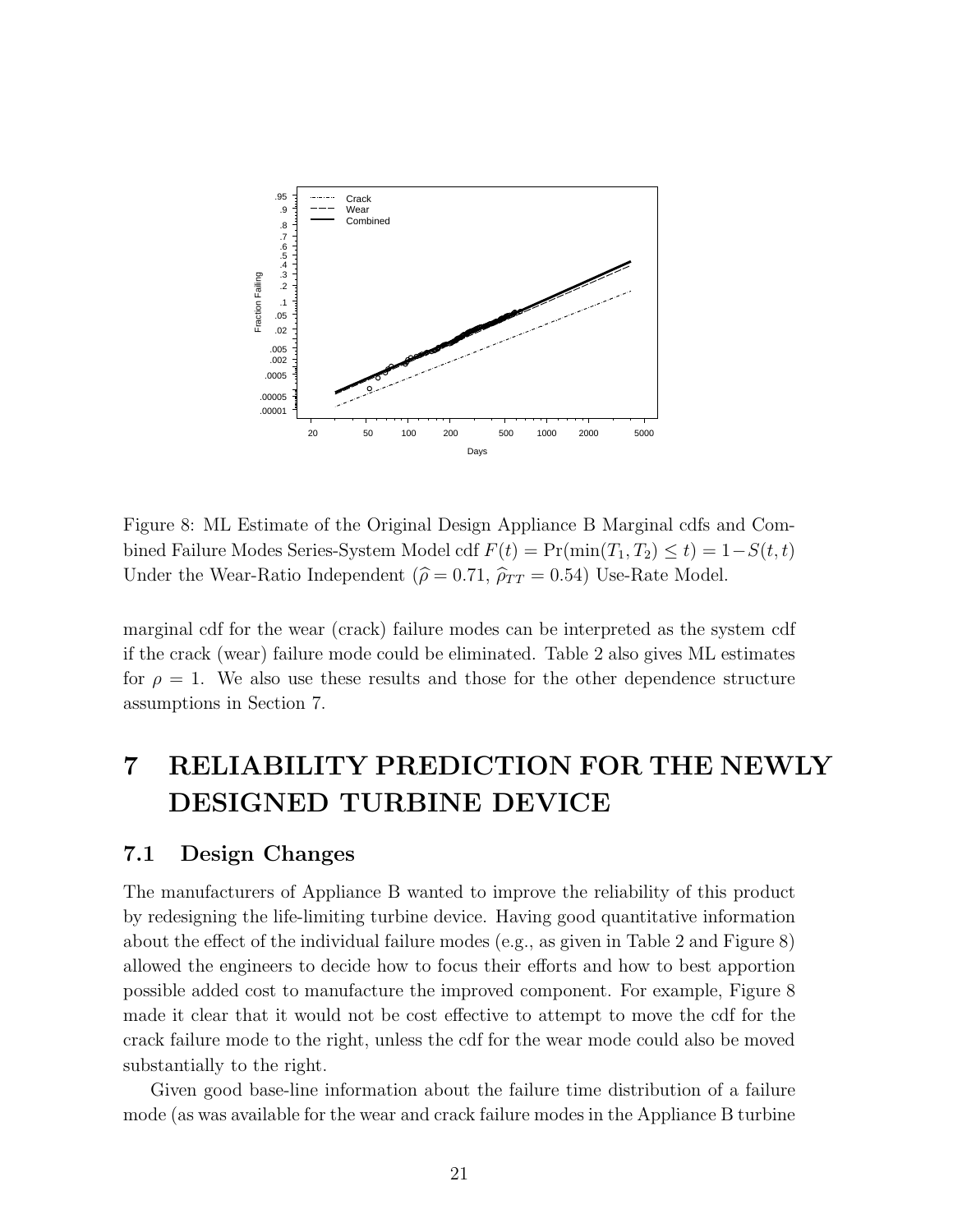

Figure 8: ML Estimate of the Original Design Appliance B Marginal cdfs and Combined Failure Modes Series-System Model cdf  $F(t) = Pr(min(T_1, T_2) \le t) = 1-S(t, t)$ Under the Wear-Ratio Independent ( $\hat{\rho} = 0.71$ ,  $\hat{\rho}_{TT} = 0.54$ ) Use-Rate Model.

marginal cdf for the wear (crack) failure modes can be interpreted as the system cdf if the crack (wear) failure mode could be eliminated. Table 2 also gives ML estimates for  $\rho = 1$ . We also use these results and those for the other dependence structure assumptions in Section 7.

## 7 RELIABILITY PREDICTION FOR THE NEWLY DESIGNED TURBINE DEVICE

### 7.1 Design Changes

The manufacturers of Appliance B wanted to improve the reliability of this product by redesigning the life-limiting turbine device. Having good quantitative information about the effect of the individual failure modes (e.g., as given in Table 2 and Figure 8) allowed the engineers to decide how to focus their efforts and how to best apportion possible added cost to manufacture the improved component. For example, Figure 8 made it clear that it would not be cost effective to attempt to move the cdf for the crack failure mode to the right, unless the cdf for the wear mode could also be moved substantially to the right.

Given good base-line information about the failure time distribution of a failure mode (as was available for the wear and crack failure modes in the Appliance B turbine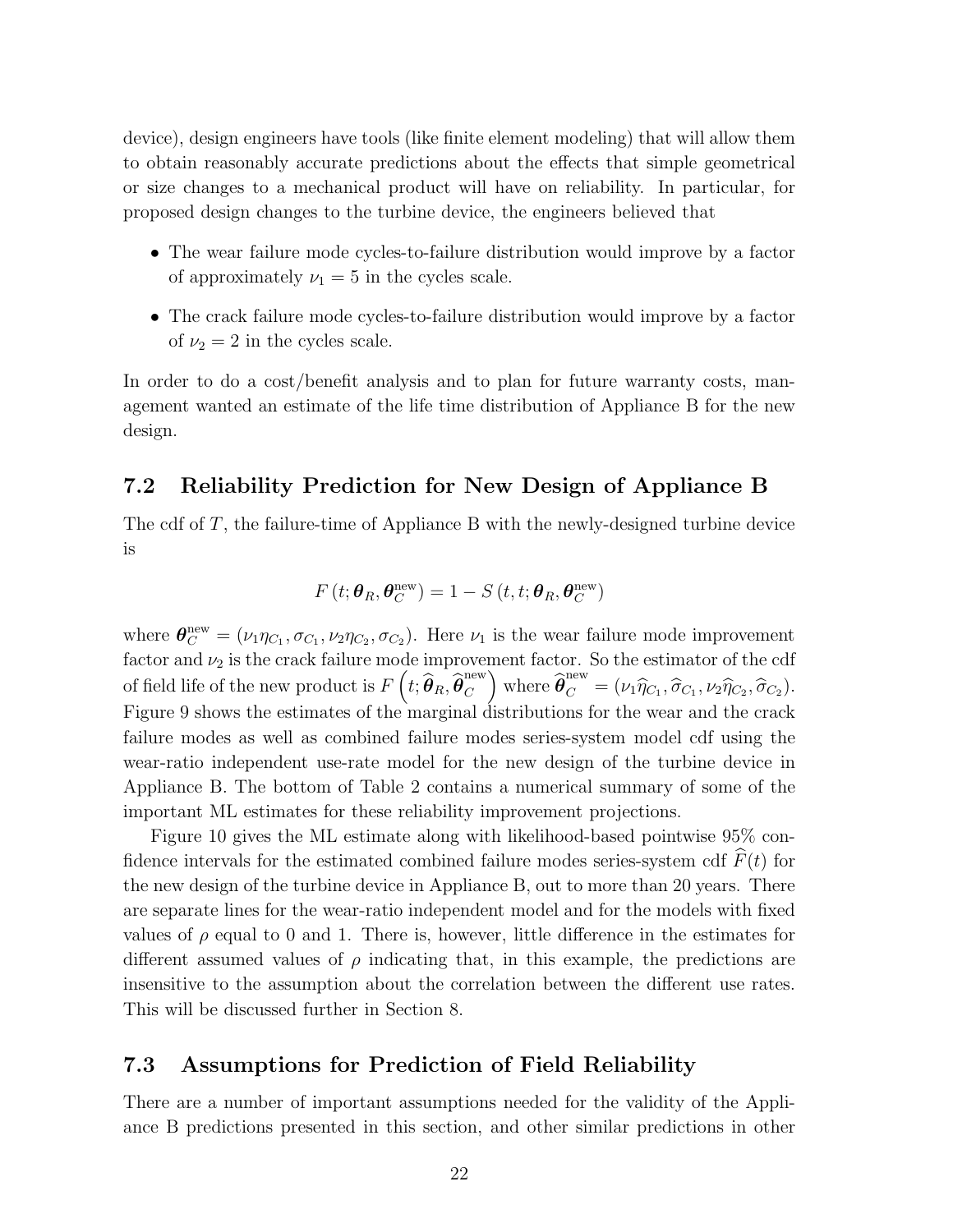device), design engineers have tools (like finite element modeling) that will allow them to obtain reasonably accurate predictions about the effects that simple geometrical or size changes to a mechanical product will have on reliability. In particular, for proposed design changes to the turbine device, the engineers believed that

- The wear failure mode cycles-to-failure distribution would improve by a factor of approximately  $\nu_1 = 5$  in the cycles scale.
- The crack failure mode cycles-to-failure distribution would improve by a factor of  $\nu_2 = 2$  in the cycles scale.

In order to do a cost/benefit analysis and to plan for future warranty costs, management wanted an estimate of the life time distribution of Appliance B for the new design.

### 7.2 Reliability Prediction for New Design of Appliance B

The cdf of T, the failure-time of Appliance B with the newly-designed turbine device is

$$
F(t; \boldsymbol{\theta}_R, \boldsymbol{\theta}_C^{\text{new}}) = 1 - S(t, t; \boldsymbol{\theta}_R, \boldsymbol{\theta}_C^{\text{new}})
$$

where  $\boldsymbol{\theta}_{C}^{\text{new}} = (\nu_1 \eta_{C_1}, \sigma_{C_1}, \nu_2 \eta_{C_2}, \sigma_{C_2})$ . Here  $\nu_1$  is the wear failure mode improvement factor and  $\nu_2$  is the crack failure mode improvement factor. So the estimator of the cdf of field life of the new product is  $F\left(t; \widehat{\boldsymbol{\theta}}_{R}, \widehat{\boldsymbol{\theta}}_{C}^{\text{new}}\right)$  $\mathcal{C}_{0}^{(n)}$ where  $\widehat{\boldsymbol{\theta}}_C^{\text{new}} = (\nu_1 \widehat{\eta}_{C_1}, \widehat{\sigma}_{C_1}, \nu_2 \widehat{\eta}_{C_2}, \widehat{\sigma}_{C_2}).$ Figure 9 shows the estimates of the marginal distributions for the wear and the crack failure modes as well as combined failure modes series-system model cdf using the wear-ratio independent use-rate model for the new design of the turbine device in Appliance B. The bottom of Table 2 contains a numerical summary of some of the important ML estimates for these reliability improvement projections.

Figure 10 gives the ML estimate along with likelihood-based pointwise 95% confidence intervals for the estimated combined failure modes series-system cdf  $\widehat{F}(t)$  for the new design of the turbine device in Appliance B, out to more than 20 years. There are separate lines for the wear-ratio independent model and for the models with fixed values of  $\rho$  equal to 0 and 1. There is, however, little difference in the estimates for different assumed values of  $\rho$  indicating that, in this example, the predictions are insensitive to the assumption about the correlation between the different use rates. This will be discussed further in Section 8.

### 7.3 Assumptions for Prediction of Field Reliability

There are a number of important assumptions needed for the validity of the Appliance B predictions presented in this section, and other similar predictions in other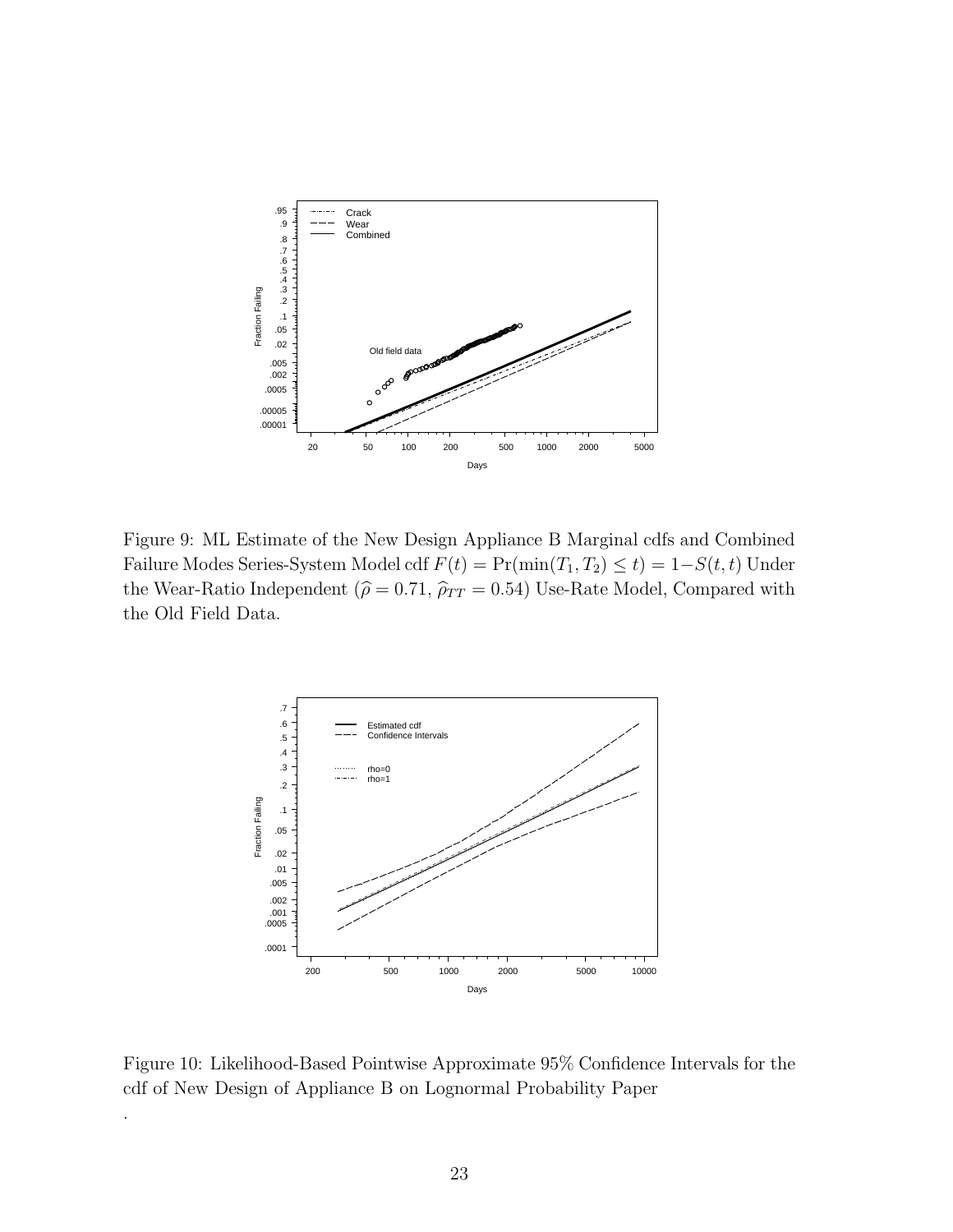

Figure 9: ML Estimate of the New Design Appliance B Marginal cdfs and Combined Failure Modes Series-System Model cdf  $F(t) = Pr(\min(T_1, T_2) \le t) = 1-S(t, t)$  Under the Wear-Ratio Independent ( $\hat{\rho} = 0.71$ ,  $\hat{\rho}_{TT} = 0.54$ ) Use-Rate Model, Compared with the Old Field Data.



.

Figure 10: Likelihood-Based Pointwise Approximate 95% Confidence Intervals for the cdf of New Design of Appliance B on Lognormal Probability Paper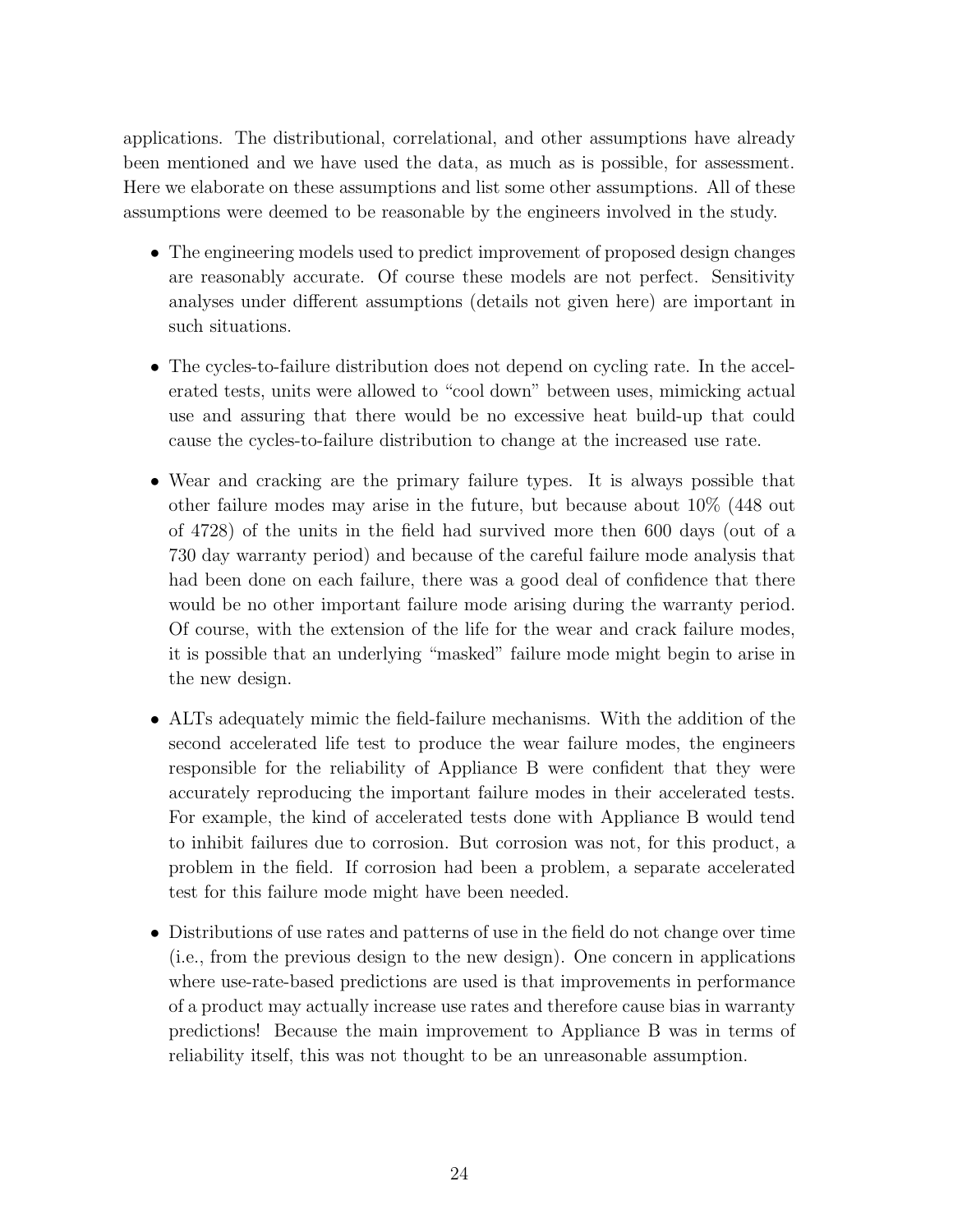applications. The distributional, correlational, and other assumptions have already been mentioned and we have used the data, as much as is possible, for assessment. Here we elaborate on these assumptions and list some other assumptions. All of these assumptions were deemed to be reasonable by the engineers involved in the study.

- The engineering models used to predict improvement of proposed design changes are reasonably accurate. Of course these models are not perfect. Sensitivity analyses under different assumptions (details not given here) are important in such situations.
- The cycles-to-failure distribution does not depend on cycling rate. In the accelerated tests, units were allowed to "cool down" between uses, mimicking actual use and assuring that there would be no excessive heat build-up that could cause the cycles-to-failure distribution to change at the increased use rate.
- Wear and cracking are the primary failure types. It is always possible that other failure modes may arise in the future, but because about 10% (448 out of 4728) of the units in the field had survived more then 600 days (out of a 730 day warranty period) and because of the careful failure mode analysis that had been done on each failure, there was a good deal of confidence that there would be no other important failure mode arising during the warranty period. Of course, with the extension of the life for the wear and crack failure modes, it is possible that an underlying "masked" failure mode might begin to arise in the new design.
- ALTs adequately mimic the field-failure mechanisms. With the addition of the second accelerated life test to produce the wear failure modes, the engineers responsible for the reliability of Appliance B were confident that they were accurately reproducing the important failure modes in their accelerated tests. For example, the kind of accelerated tests done with Appliance B would tend to inhibit failures due to corrosion. But corrosion was not, for this product, a problem in the field. If corrosion had been a problem, a separate accelerated test for this failure mode might have been needed.
- Distributions of use rates and patterns of use in the field do not change over time (i.e., from the previous design to the new design). One concern in applications where use-rate-based predictions are used is that improvements in performance of a product may actually increase use rates and therefore cause bias in warranty predictions! Because the main improvement to Appliance B was in terms of reliability itself, this was not thought to be an unreasonable assumption.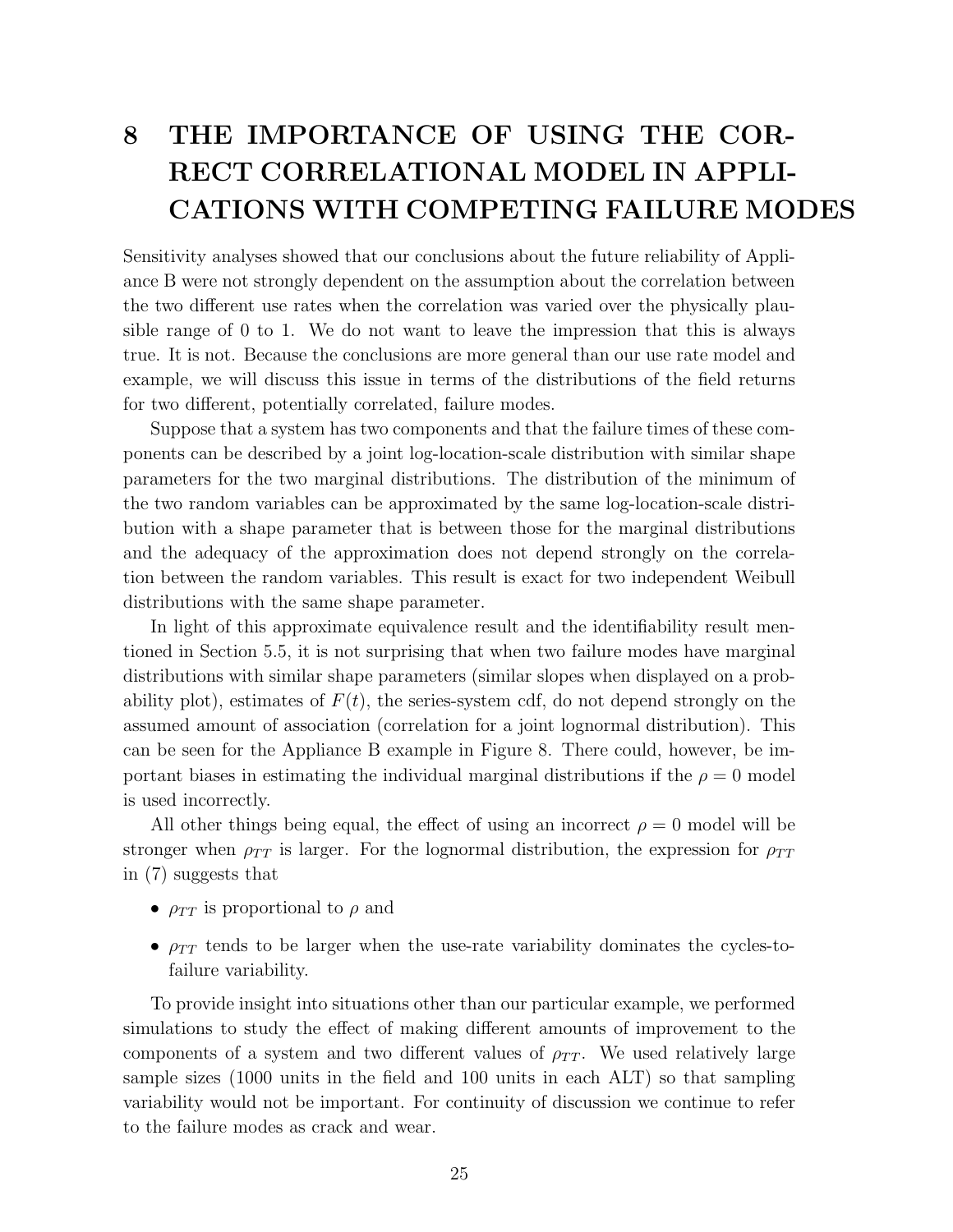# 8 THE IMPORTANCE OF USING THE COR-RECT CORRELATIONAL MODEL IN APPLI-CATIONS WITH COMPETING FAILURE MODES

Sensitivity analyses showed that our conclusions about the future reliability of Appliance B were not strongly dependent on the assumption about the correlation between the two different use rates when the correlation was varied over the physically plausible range of 0 to 1. We do not want to leave the impression that this is always true. It is not. Because the conclusions are more general than our use rate model and example, we will discuss this issue in terms of the distributions of the field returns for two different, potentially correlated, failure modes.

Suppose that a system has two components and that the failure times of these components can be described by a joint log-location-scale distribution with similar shape parameters for the two marginal distributions. The distribution of the minimum of the two random variables can be approximated by the same log-location-scale distribution with a shape parameter that is between those for the marginal distributions and the adequacy of the approximation does not depend strongly on the correlation between the random variables. This result is exact for two independent Weibull distributions with the same shape parameter.

In light of this approximate equivalence result and the identifiability result mentioned in Section 5.5, it is not surprising that when two failure modes have marginal distributions with similar shape parameters (similar slopes when displayed on a probability plot), estimates of  $F(t)$ , the series-system cdf, do not depend strongly on the assumed amount of association (correlation for a joint lognormal distribution). This can be seen for the Appliance B example in Figure 8. There could, however, be important biases in estimating the individual marginal distributions if the  $\rho = 0$  model is used incorrectly.

All other things being equal, the effect of using an incorrect  $\rho = 0$  model will be stronger when  $\rho_{TT}$  is larger. For the lognormal distribution, the expression for  $\rho_{TT}$ in (7) suggests that

- $\rho_{TT}$  is proportional to  $\rho$  and
- $\rho_{TT}$  tends to be larger when the use-rate variability dominates the cycles-tofailure variability.

To provide insight into situations other than our particular example, we performed simulations to study the effect of making different amounts of improvement to the components of a system and two different values of  $\rho_{TT}$ . We used relatively large sample sizes (1000 units in the field and 100 units in each ALT) so that sampling variability would not be important. For continuity of discussion we continue to refer to the failure modes as crack and wear.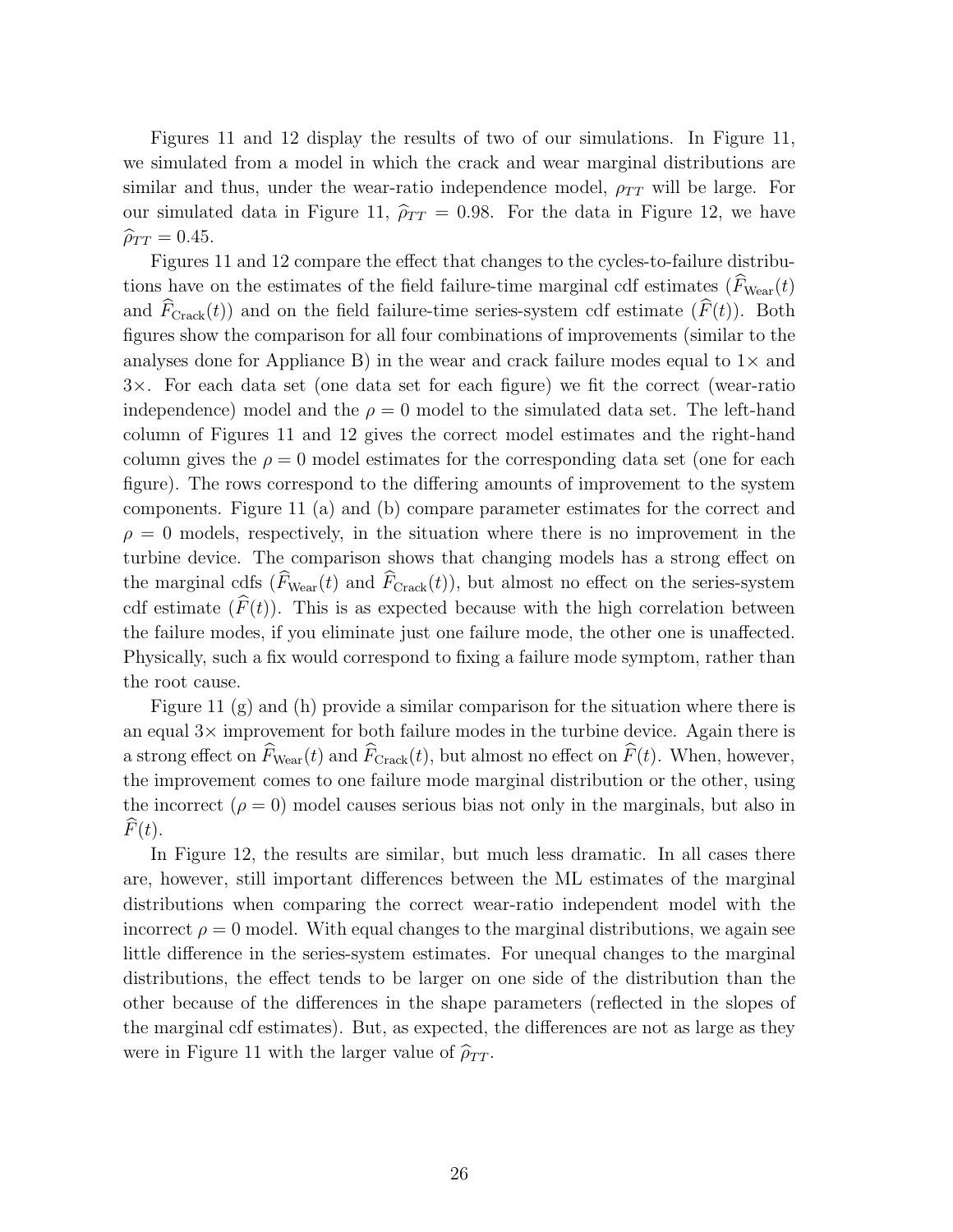Figures 11 and 12 display the results of two of our simulations. In Figure 11, we simulated from a model in which the crack and wear marginal distributions are similar and thus, under the wear-ratio independence model,  $\rho_{TT}$  will be large. For our simulated data in Figure 11,  $\hat{\rho}_{TT} = 0.98$ . For the data in Figure 12, we have  $\widehat{\rho}_{TT} = 0.45.$ 

Figures 11 and 12 compare the effect that changes to the cycles-to-failure distributions have on the estimates of the field failure-time marginal cdf estimates  $(\widehat{F}_{\text{Wear}}(t))$ and  $\widehat{F}_{Crack}(t)$  and on the field failure-time series-system cdf estimate  $(\widehat{F}(t))$ . Both figures show the comparison for all four combinations of improvements (similar to the analyses done for Appliance B) in the wear and crack failure modes equal to  $1\times$  and 3×. For each data set (one data set for each figure) we fit the correct (wear-ratio independence) model and the  $\rho = 0$  model to the simulated data set. The left-hand column of Figures 11 and 12 gives the correct model estimates and the right-hand column gives the  $\rho = 0$  model estimates for the corresponding data set (one for each figure). The rows correspond to the differing amounts of improvement to the system components. Figure 11 (a) and (b) compare parameter estimates for the correct and  $\rho = 0$  models, respectively, in the situation where there is no improvement in the turbine device. The comparison shows that changing models has a strong effect on the marginal cdfs  $(\widehat{F}_{\text{Wear}}(t))$  and  $\widehat{F}_{\text{Crack}}(t)$ , but almost no effect on the series-system cdf estimate  $(\widehat{F}(t))$ . This is as expected because with the high correlation between the failure modes, if you eliminate just one failure mode, the other one is unaffected. Physically, such a fix would correspond to fixing a failure mode symptom, rather than the root cause.

Figure 11 (g) and (h) provide a similar comparison for the situation where there is an equal  $3\times$  improvement for both failure modes in the turbine device. Again there is a strong effect on  $\widehat{F}_{\text{Wear}}(t)$  and  $\widehat{F}_{\text{Crack}}(t)$ , but almost no effect on  $\widehat{F}(t)$ . When, however, the improvement comes to one failure mode marginal distribution or the other, using the incorrect  $(\rho = 0)$  model causes serious bias not only in the marginals, but also in  $F(t)$ .

In Figure 12, the results are similar, but much less dramatic. In all cases there are, however, still important differences between the ML estimates of the marginal distributions when comparing the correct wear-ratio independent model with the incorrect  $\rho = 0$  model. With equal changes to the marginal distributions, we again see little difference in the series-system estimates. For unequal changes to the marginal distributions, the effect tends to be larger on one side of the distribution than the other because of the differences in the shape parameters (reflected in the slopes of the marginal cdf estimates). But, as expected, the differences are not as large as they were in Figure 11 with the larger value of  $\hat{\rho}_{TT}$ .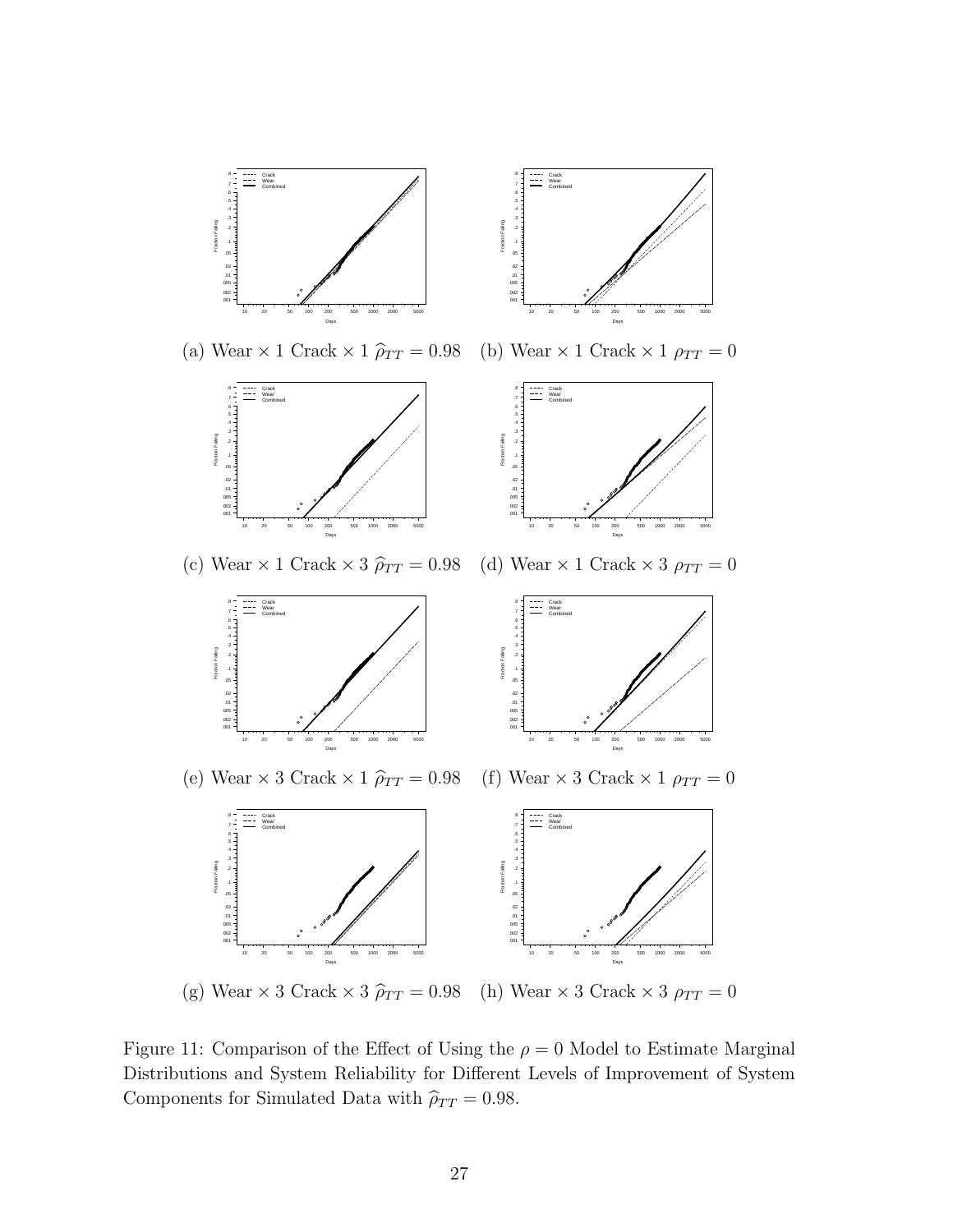

Figure 11: Comparison of the Effect of Using the  $\rho = 0$  Model to Estimate Marginal Distributions and System Reliability for Different Levels of Improvement of System Components for Simulated Data with  $\widehat{\rho}_{TT} = 0.98.$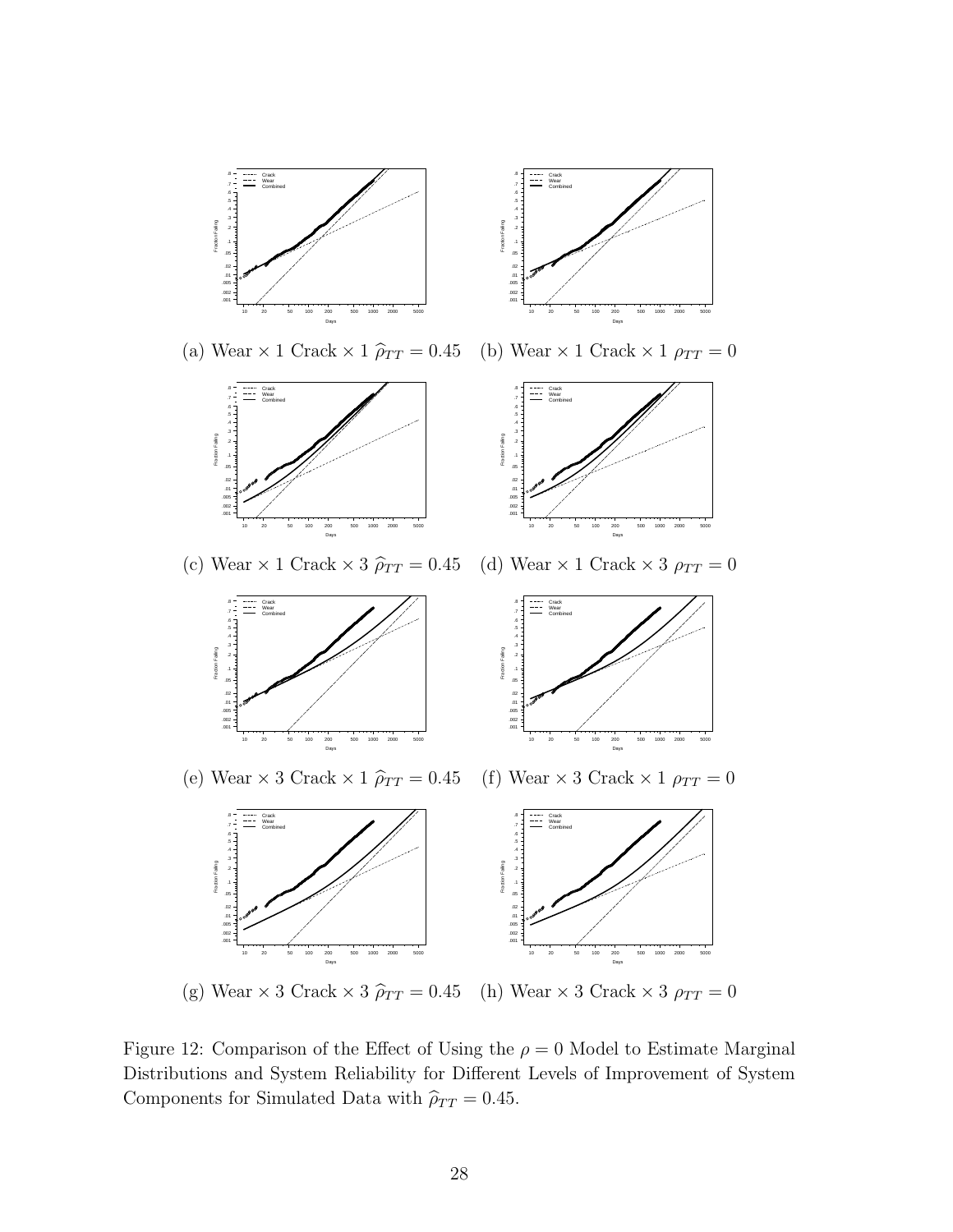

(g) Wear  $\times$  3 Crack  $\times$  3  $\hat{\rho}_{TT}$  = 0.45 (h) Wear  $\times$  3 Crack  $\times$  3  $\rho_{TT}$  = 0

Figure 12: Comparison of the Effect of Using the  $\rho = 0$  Model to Estimate Marginal Distributions and System Reliability for Different Levels of Improvement of System Components for Simulated Data with  $\widehat{\rho}_{TT} = 0.45$ .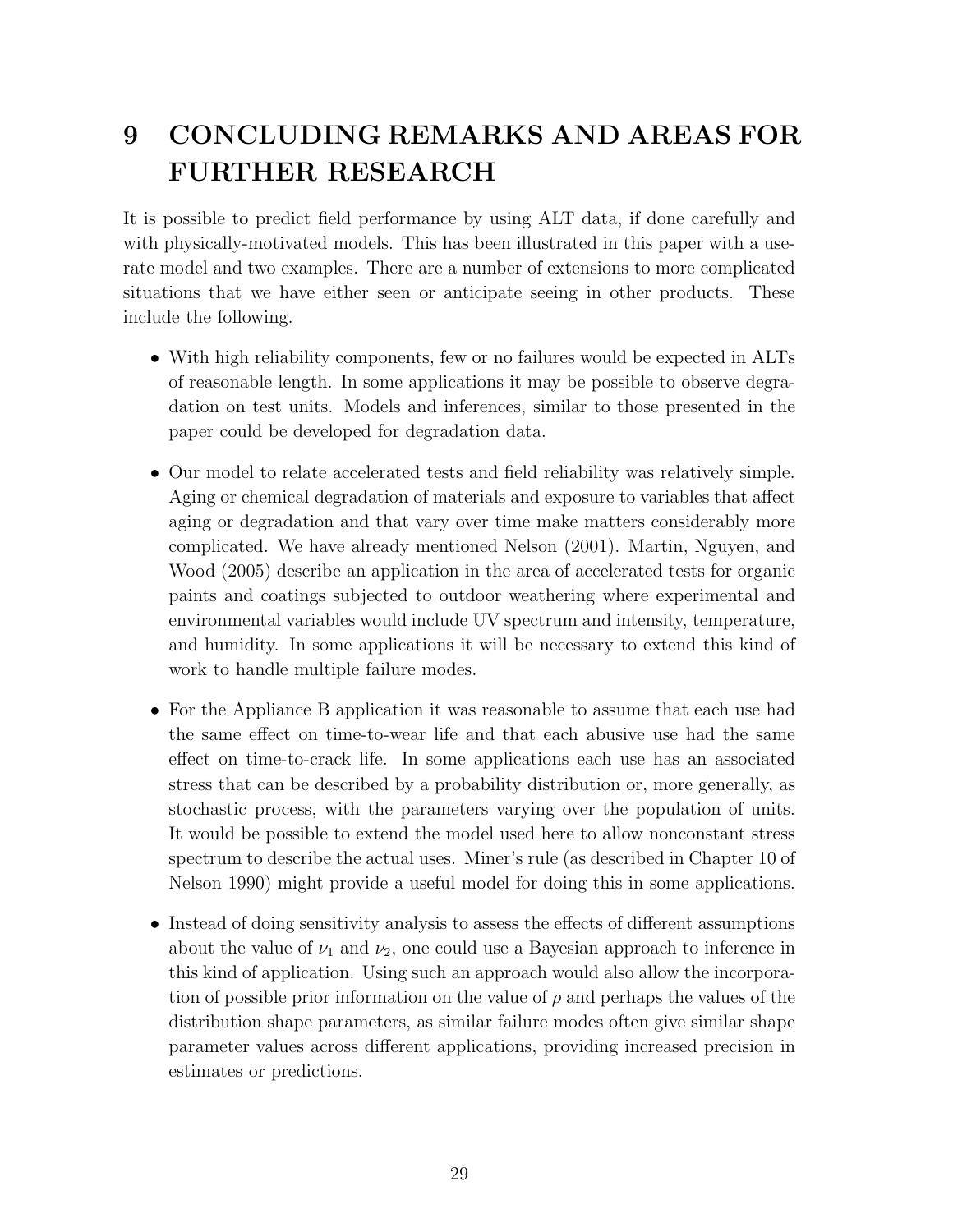# 9 CONCLUDING REMARKS AND AREAS FOR FURTHER RESEARCH

It is possible to predict field performance by using ALT data, if done carefully and with physically-motivated models. This has been illustrated in this paper with a userate model and two examples. There are a number of extensions to more complicated situations that we have either seen or anticipate seeing in other products. These include the following.

- With high reliability components, few or no failures would be expected in ALTs of reasonable length. In some applications it may be possible to observe degradation on test units. Models and inferences, similar to those presented in the paper could be developed for degradation data.
- Our model to relate accelerated tests and field reliability was relatively simple. Aging or chemical degradation of materials and exposure to variables that affect aging or degradation and that vary over time make matters considerably more complicated. We have already mentioned Nelson (2001). Martin, Nguyen, and Wood (2005) describe an application in the area of accelerated tests for organic paints and coatings subjected to outdoor weathering where experimental and environmental variables would include UV spectrum and intensity, temperature, and humidity. In some applications it will be necessary to extend this kind of work to handle multiple failure modes.
- For the Appliance B application it was reasonable to assume that each use had the same effect on time-to-wear life and that each abusive use had the same effect on time-to-crack life. In some applications each use has an associated stress that can be described by a probability distribution or, more generally, as stochastic process, with the parameters varying over the population of units. It would be possible to extend the model used here to allow nonconstant stress spectrum to describe the actual uses. Miner's rule (as described in Chapter 10 of Nelson 1990) might provide a useful model for doing this in some applications.
- Instead of doing sensitivity analysis to assess the effects of different assumptions about the value of  $\nu_1$  and  $\nu_2$ , one could use a Bayesian approach to inference in this kind of application. Using such an approach would also allow the incorporation of possible prior information on the value of  $\rho$  and perhaps the values of the distribution shape parameters, as similar failure modes often give similar shape parameter values across different applications, providing increased precision in estimates or predictions.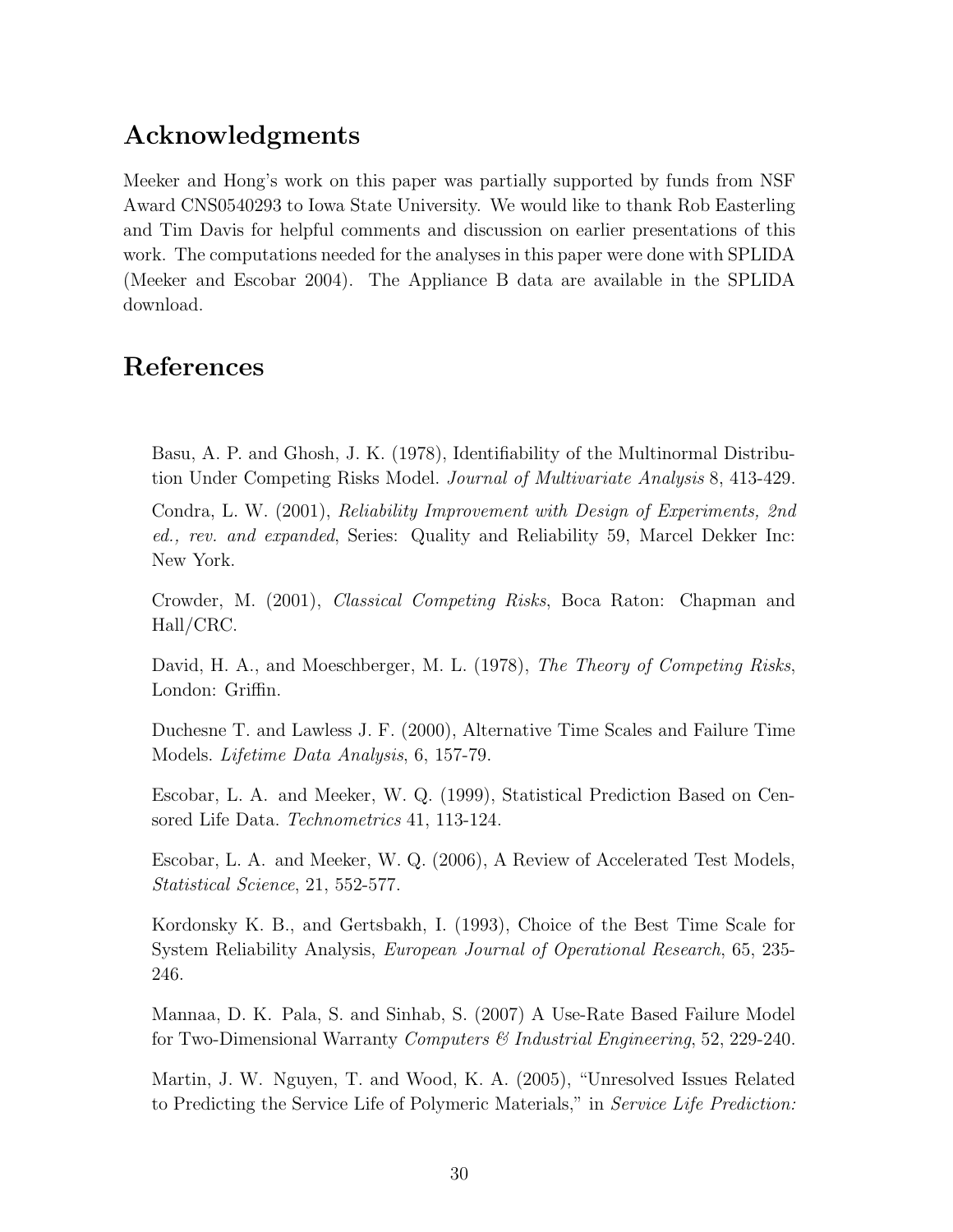## Acknowledgments

Meeker and Hong's work on this paper was partially supported by funds from NSF Award CNS0540293 to Iowa State University. We would like to thank Rob Easterling and Tim Davis for helpful comments and discussion on earlier presentations of this work. The computations needed for the analyses in this paper were done with SPLIDA (Meeker and Escobar 2004). The Appliance B data are available in the SPLIDA download.

## References

Basu, A. P. and Ghosh, J. K. (1978), Identifiability of the Multinormal Distribution Under Competing Risks Model. Journal of Multivariate Analysis 8, 413-429.

Condra, L. W. (2001), Reliability Improvement with Design of Experiments, 2nd ed., rev. and expanded, Series: Quality and Reliability 59, Marcel Dekker Inc: New York.

Crowder, M. (2001), Classical Competing Risks, Boca Raton: Chapman and Hall/CRC.

David, H. A., and Moeschberger, M. L. (1978), The Theory of Competing Risks, London: Griffin.

Duchesne T. and Lawless J. F. (2000), Alternative Time Scales and Failure Time Models. Lifetime Data Analysis, 6, 157-79.

Escobar, L. A. and Meeker, W. Q. (1999), Statistical Prediction Based on Censored Life Data. Technometrics 41, 113-124.

Escobar, L. A. and Meeker, W. Q. (2006), A Review of Accelerated Test Models, Statistical Science, 21, 552-577.

Kordonsky K. B., and Gertsbakh, I. (1993), Choice of the Best Time Scale for System Reliability Analysis, European Journal of Operational Research, 65, 235- 246.

Mannaa, D. K. Pala, S. and Sinhab, S. (2007) A Use-Rate Based Failure Model for Two-Dimensional Warranty Computers  $\mathcal{C}$  Industrial Engineering, 52, 229-240.

Martin, J. W. Nguyen, T. and Wood, K. A. (2005), "Unresolved Issues Related to Predicting the Service Life of Polymeric Materials," in Service Life Prediction: